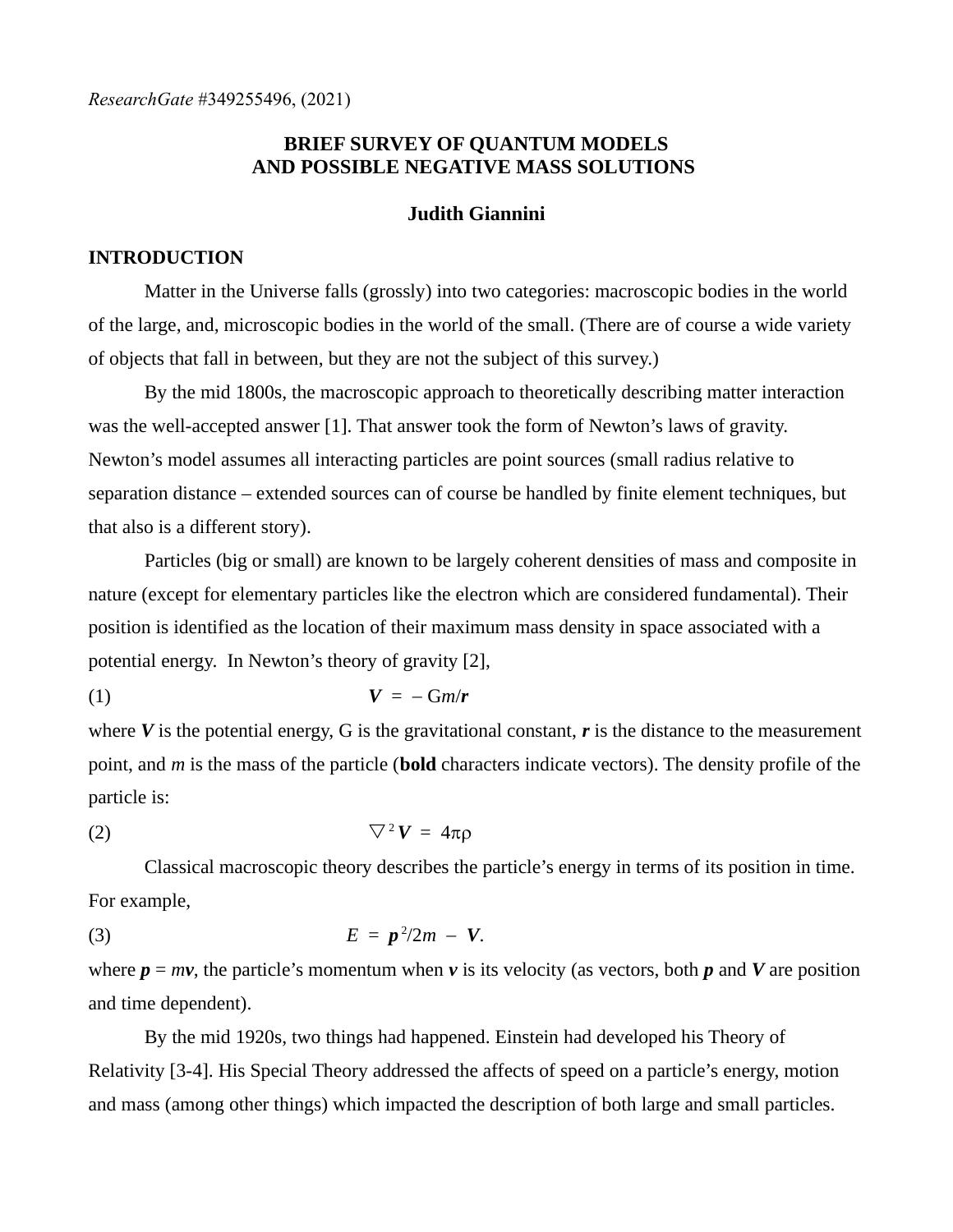# **BRIEF SURVEY OF QUANTUM MODELS AND POSSIBLE NEGATIVE MASS SOLUTIONS**

#### **Judith Giannini**

#### **INTRODUCTION**

Matter in the Universe falls (grossly) into two categories: macroscopic bodies in the world of the large, and, microscopic bodies in the world of the small. (There are of course a wide variety of objects that fall in between, but they are not the subject of this survey.)

By the mid 1800s, the macroscopic approach to theoretically describing matter interaction was the well-accepted answer [1]. That answer took the form of Newton's laws of gravity. Newton's model assumes all interacting particles are point sources (small radius relative to separation distance – extended sources can of course be handled by finite element techniques, but that also is a different story).

Particles (big or small) are known to be largely coherent densities of mass and composite in nature (except for elementary particles like the electron which are considered fundamental). Their position is identified as the location of their maximum mass density in space associated with a potential energy. In Newton's theory of gravity [2],

$$
V = -Gm/r
$$

where *V* is the potential energy, G is the gravitational constant, *r* is the distance to the measurement point, and *m* is the mass of the particle (**bold** characters indicate vectors). The density profile of the particle is:

$$
\nabla^2 \mathbf{V} = 4\pi \rho
$$

Classical macroscopic theory describes the particle's energy in terms of its position in time. For example,

$$
E = p^2/2m - V.
$$

where  $p = mv$ , the particle's momentum when  $v$  is its velocity (as vectors, both  $p$  and  $V$  are position and time dependent).

By the mid 1920s, two things had happened. Einstein had developed his Theory of Relativity [3-4]. His Special Theory addressed the affects of speed on a particle's energy, motion and mass (among other things) which impacted the description of both large and small particles.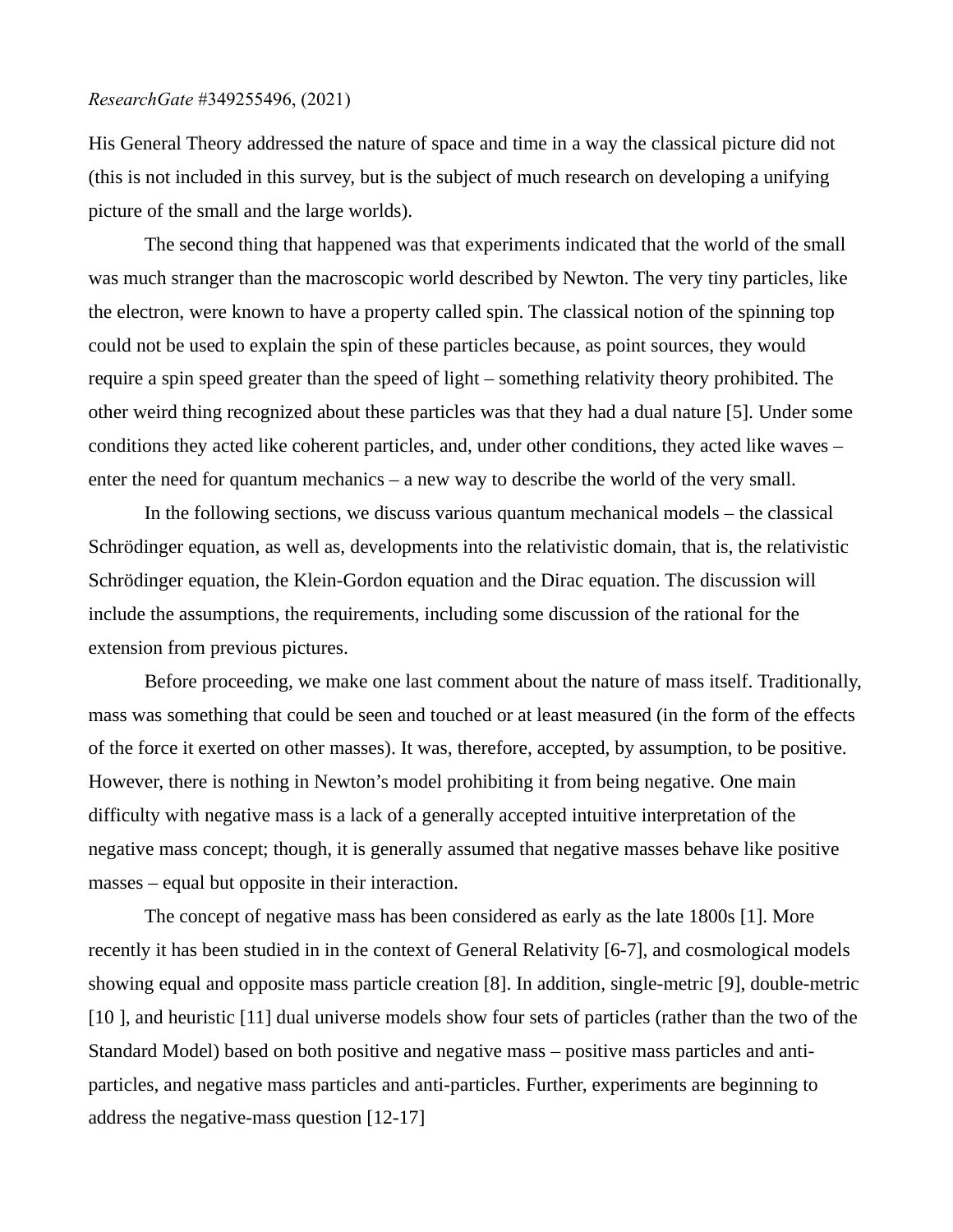His General Theory addressed the nature of space and time in a way the classical picture did not (this is not included in this survey, but is the subject of much research on developing a unifying picture of the small and the large worlds).

The second thing that happened was that experiments indicated that the world of the small was much stranger than the macroscopic world described by Newton. The very tiny particles, like the electron, were known to have a property called spin. The classical notion of the spinning top could not be used to explain the spin of these particles because, as point sources, they would require a spin speed greater than the speed of light – something relativity theory prohibited. The other weird thing recognized about these particles was that they had a dual nature [5]. Under some conditions they acted like coherent particles, and, under other conditions, they acted like waves – enter the need for quantum mechanics – a new way to describe the world of the very small.

In the following sections, we discuss various quantum mechanical models – the classical Schrödinger equation, as well as, developments into the relativistic domain, that is, the relativistic Schrödinger equation, the Klein-Gordon equation and the Dirac equation. The discussion will include the assumptions, the requirements, including some discussion of the rational for the extension from previous pictures.

Before proceeding, we make one last comment about the nature of mass itself. Traditionally, mass was something that could be seen and touched or at least measured (in the form of the effects of the force it exerted on other masses). It was, therefore, accepted, by assumption, to be positive. However, there is nothing in Newton's model prohibiting it from being negative. One main difficulty with negative mass is a lack of a generally accepted intuitive interpretation of the negative mass concept; though, it is generally assumed that negative masses behave like positive masses – equal but opposite in their interaction.

The concept of negative mass has been considered as early as the late 1800s [1]. More recently it has been studied in in the context of General Relativity [6-7], and cosmological models showing equal and opposite mass particle creation [8]. In addition, single-metric [9], double-metric [10], and heuristic [11] dual universe models show four sets of particles (rather than the two of the Standard Model) based on both positive and negative mass – positive mass particles and antiparticles, and negative mass particles and anti-particles. Further, experiments are beginning to address the negative-mass question [12-17]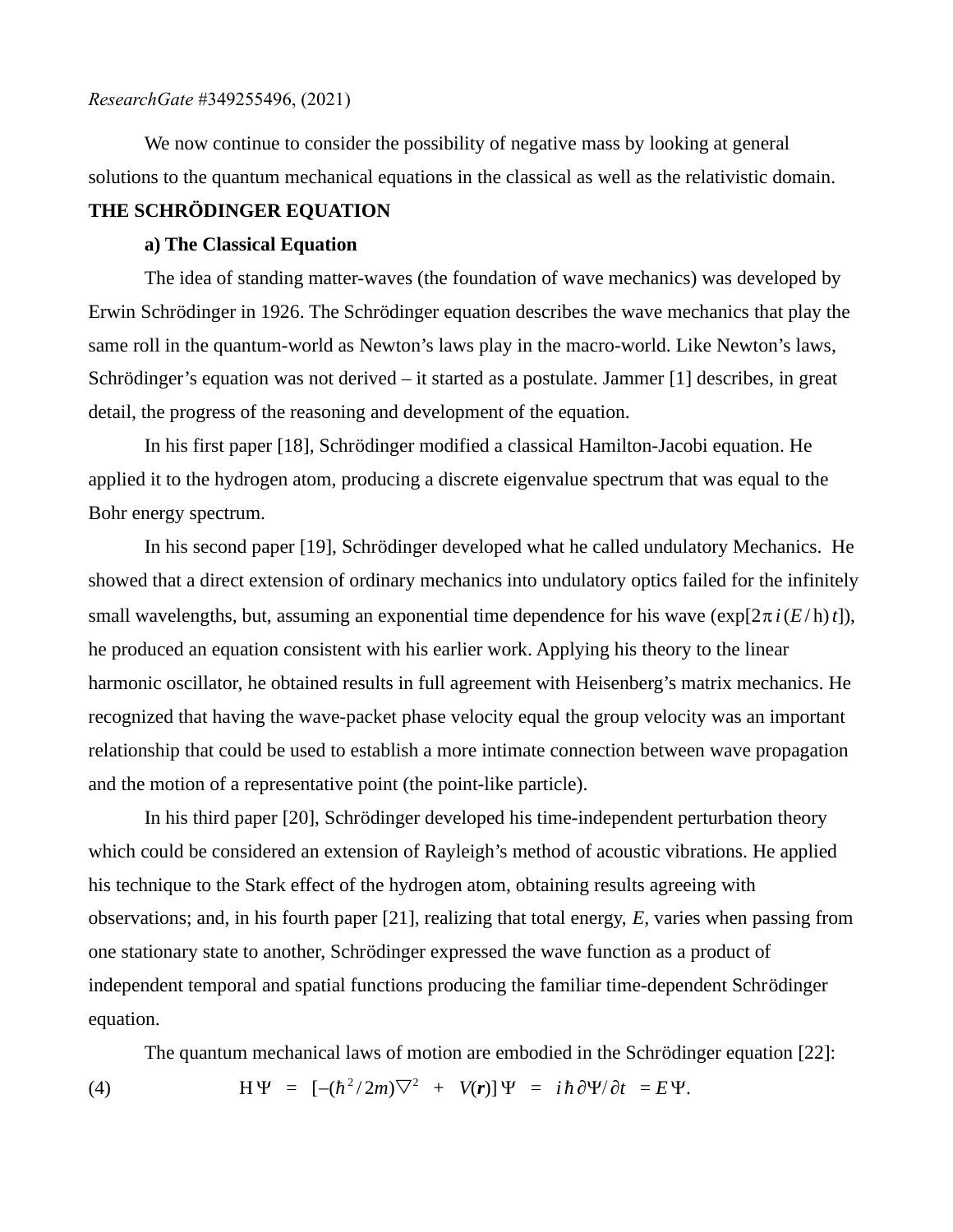We now continue to consider the possibility of negative mass by looking at general solutions to the quantum mechanical equations in the classical as well as the relativistic domain.

# **THE SCHRÖDINGER EQUATION**

## **a) The Classical Equation**

The idea of standing matter-waves (the foundation of wave mechanics) was developed by Erwin Schrödinger in 1926. The Schrödinger equation describes the wave mechanics that play the same roll in the quantum-world as Newton's laws play in the macro-world. Like Newton's laws, Schrödinger's equation was not derived – it started as a postulate. Jammer [1] describes, in great detail, the progress of the reasoning and development of the equation.

In his first paper [18], Schrödinger modified a classical Hamilton-Jacobi equation. He applied it to the hydrogen atom, producing a discrete eigenvalue spectrum that was equal to the Bohr energy spectrum.

In his second paper [19], Schrödinger developed what he called undulatory Mechanics. He showed that a direct extension of ordinary mechanics into undulatory optics failed for the infinitely small wavelengths, but, assuming an exponential time dependence for his wave ( $\exp[2\pi i(E/\hbar)t]$ ), he produced an equation consistent with his earlier work. Applying his theory to the linear harmonic oscillator, he obtained results in full agreement with Heisenberg's matrix mechanics. He recognized that having the wave-packet phase velocity equal the group velocity was an important relationship that could be used to establish a more intimate connection between wave propagation and the motion of a representative point (the point-like particle).

In his third paper [20], Schrödinger developed his time-independent perturbation theory which could be considered an extension of Rayleigh's method of acoustic vibrations. He applied his technique to the Stark effect of the hydrogen atom, obtaining results agreeing with observations; and, in his fourth paper [21], realizing that total energy, *E,* varies when passing from one stationary state to another, Schrödinger expressed the wave function as a product of independent temporal and spatial functions producing the familiar time-dependent Schrödinger equation.

The quantum mechanical laws of motion are embodied in the Schrödinger equation [22]:

(4)  $H\Psi = [-(\hbar^2/2m)\nabla^2 + V(r)]\Psi = i\hbar \partial \Psi / \partial t = E \Psi.$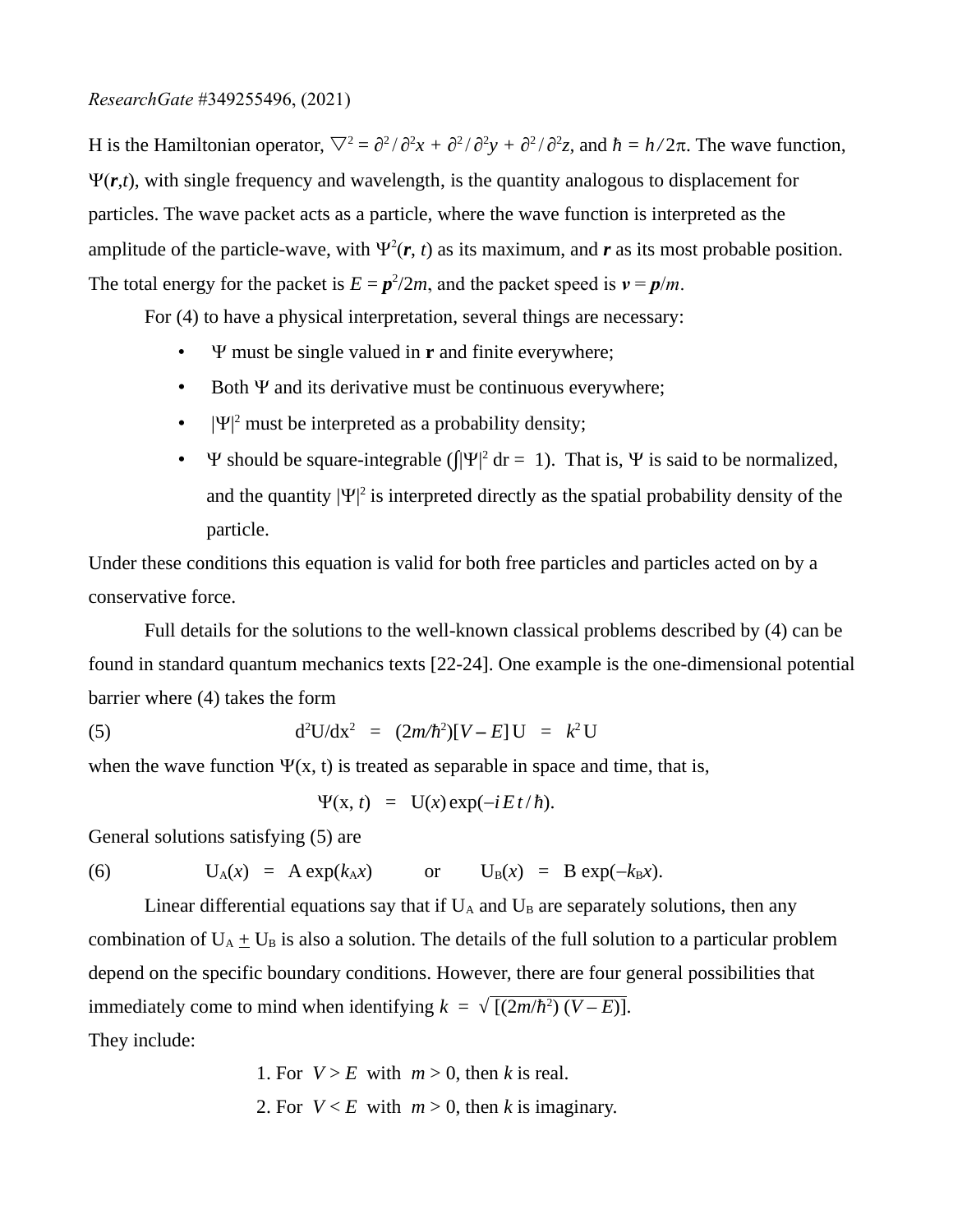H is the Hamiltonian operator,  $∇<sup>2</sup> = ∂<sup>2</sup>/∂<sup>2</sup>x + ∂<sup>2</sup>/∂<sup>2</sup>y + ∂<sup>2</sup>/∂<sup>2</sup>z$ , and *ħ* = *h*/2*π*. The wave function, Y*r*,*t*), with single frequency and wavelength, is the quantity analogous to displacement for particles. The wave packet acts as a particle, where the wave function is interpreted as the amplitude of the particle-wave, with  $\Psi^2(\mathbf{r}, t)$  as its maximum, and  $\mathbf{r}$  as its most probable position. The total energy for the packet is  $E = p^2/2m$ , and the packet speed is  $v = p/m$ .

For (4) to have a physical interpretation, several things are necessary:

- Y must be single valued in **r** and finite everywhere;
- Both  $\Psi$  and its derivative must be continuous everywhere;
- $|\Psi|^2$  must be interpreted as a probability density;
- $\Psi$  should be square-integrable ( $\int |\Psi|^2 dr = 1$ ). That is,  $\Psi$  is said to be normalized, and the quantity  $|\Psi|^2$  is interpreted directly as the spatial probability density of the particle.

Under these conditions this equation is valid for both free particles and particles acted on by a conservative force.

Full details for the solutions to the well-known classical problems described by (4) can be found in standard quantum mechanics texts [22-24]. One example is the one-dimensional potential barrier where (4) takes the form

(5) 
$$
d^2U/dx^2 = (2m/\hbar^2)[V - E]U = k^2U
$$

when the wave function  $\Psi(x, t)$  is treated as separable in space and time, that is,

$$
\Psi(x, t) = U(x) \exp(-iEt/\hbar).
$$

General solutions satisfying (5) are

(6) 
$$
U_A(x) = A \exp(k_A x) \quad \text{or} \quad U_B(x) = B \exp(-k_B x).
$$

Linear differential equations say that if  $U_A$  and  $U_B$  are separately solutions, then any combination of  $U_A + U_B$  is also a solution. The details of the full solution to a particular problem depend on the specific boundary conditions. However, there are four general possibilities that immediately come to mind when identifying  $k = \sqrt{[(2m/\hbar^2)(V - E)]}$ . They include:

> 1. For  $V > E$  with  $m > 0$ , then *k* is real. 2. For  $V \le E$  with  $m > 0$ , then *k* is imaginary.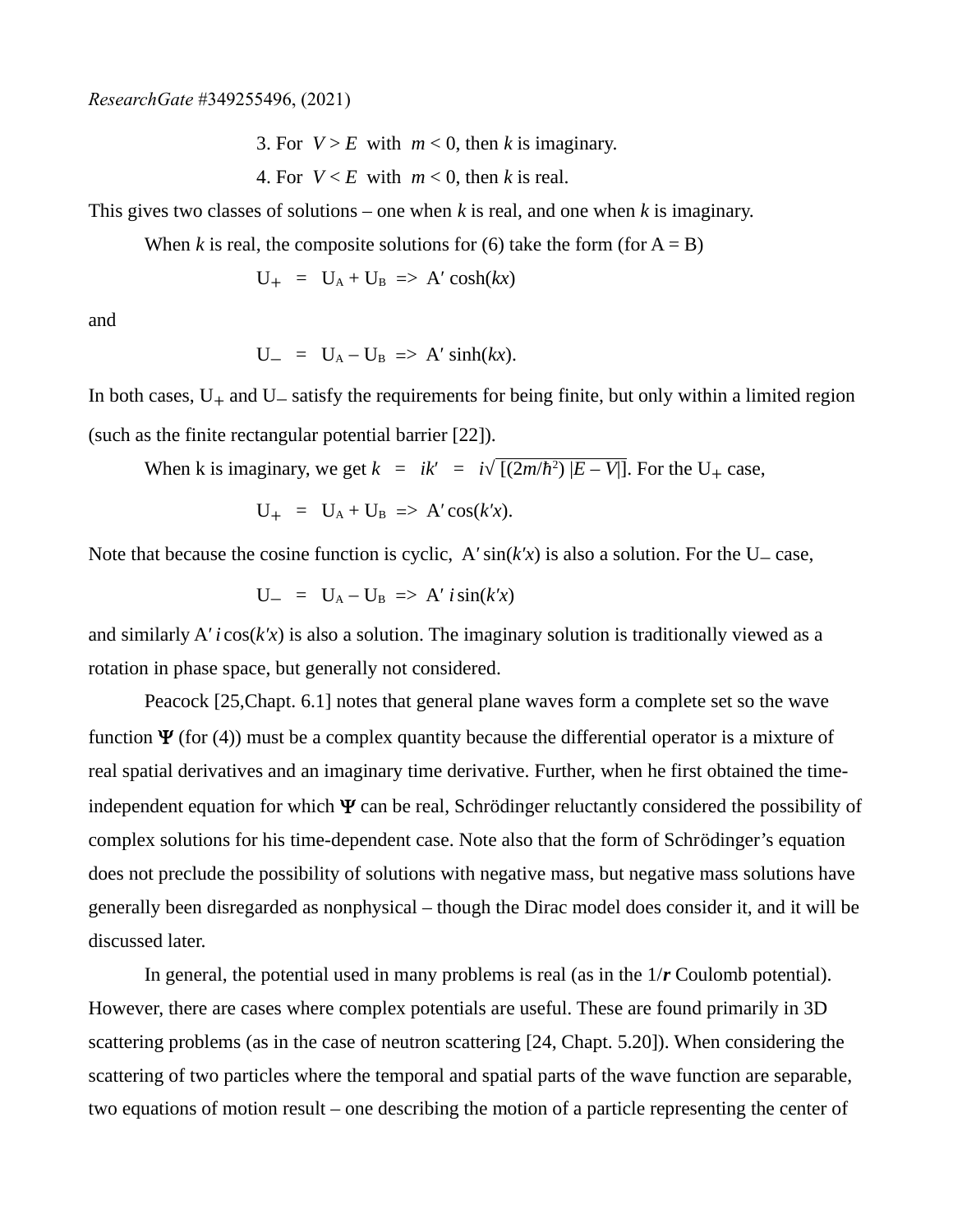3. For  $V > E$  with  $m < 0$ , then *k* is imaginary.

4. For  $V \le E$  with  $m \le 0$ , then *k* is real.

This gives two classes of solutions – one when *k* is real, and one when *k* is imaginary.

When *k* is real, the composite solutions for (6) take the form (for  $A = B$ )

 $U_{+} = U_{A} + U_{B} \implies A' \cosh(kx)$ 

and

$$
U_{-} = U_A - U_B \implies A' \sinh(kx).
$$

In both cases,  $U_+$  and  $U_-$  satisfy the requirements for being finite, but only within a limited region (such as the finite rectangular potential barrier [22]).

When k is imaginary, we get 
$$
k = ik' = i\sqrt{[(2m/\hbar^2)]}E - V]
$$
. For the U<sub>+</sub> case,

$$
U_+ = U_A + U_B \Rightarrow A' \cos(k'x).
$$

Note that because the cosine function is cyclic,  $A' \sin(k'x)$  is also a solution. For the U $-$  case,

$$
U_{-} = U_{A} - U_{B} \implies A' \sin(k'x)
$$

and similarly A′ *i* cos(*k′x*) is also a solution. The imaginary solution is traditionally viewed as a rotation in phase space, but generally not considered.

Peacock [25,Chapt. 6.1] notes that general plane waves form a complete set so the wave function  $\Psi$  (for (4)) must be a complex quantity because the differential operator is a mixture of real spatial derivatives and an imaginary time derivative. Further, when he first obtained the timeindependent equation for which  $\Psi$  can be real, Schrödinger reluctantly considered the possibility of complex solutions for his time-dependent case. Note also that the form of Schrödinger's equation does not preclude the possibility of solutions with negative mass, but negative mass solutions have generally been disregarded as nonphysical – though the Dirac model does consider it, and it will be discussed later.

In general, the potential used in many problems is real (as in the 1/*r* Coulomb potential). However, there are cases where complex potentials are useful. These are found primarily in 3D scattering problems (as in the case of neutron scattering [24, Chapt. 5.20]). When considering the scattering of two particles where the temporal and spatial parts of the wave function are separable, two equations of motion result – one describing the motion of a particle representing the center of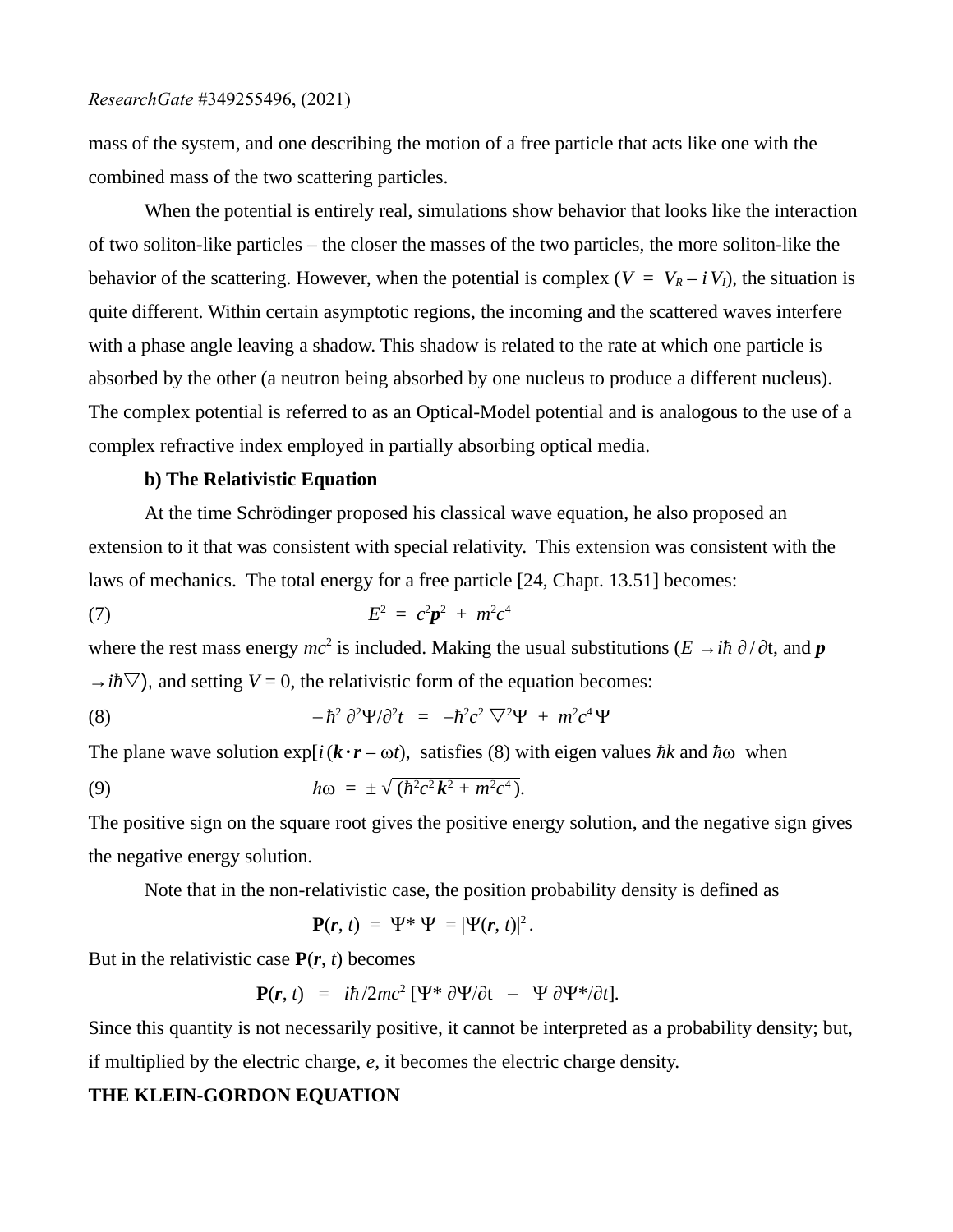mass of the system, and one describing the motion of a free particle that acts like one with the combined mass of the two scattering particles.

When the potential is entirely real, simulations show behavior that looks like the interaction of two soliton-like particles – the closer the masses of the two particles, the more soliton-like the behavior of the scattering. However, when the potential is complex ( $V = V_R - iV_I$ ), the situation is quite different. Within certain asymptotic regions, the incoming and the scattered waves interfere with a phase angle leaving a shadow. This shadow is related to the rate at which one particle is absorbed by the other (a neutron being absorbed by one nucleus to produce a different nucleus). The complex potential is referred to as an Optical-Model potential and is analogous to the use of a complex refractive index employed in partially absorbing optical media.

#### **b) The Relativistic Equation**

At the time Schrödinger proposed his classical wave equation, he also proposed an extension to it that was consistent with special relativity. This extension was consistent with the laws of mechanics. The total energy for a free particle [24, Chapt. 13.51] becomes:

(7) 
$$
E^2 = c^2 p^2 + m^2 c^4
$$

where the rest mass energy  $mc^2$  is included. Making the usual substitutions ( $E \to i\hbar \partial/\partial t$ , and  $\bm{p}$  $\rightarrow$ *ih* $\triangledown$ ), and setting *V* = 0, the relativistic form of the equation becomes:

(8) 
$$
-\hbar^2 \partial^2 \Psi / \partial^2 t = -\hbar^2 c^2 \nabla^2 \Psi + m^2 c^4 \Psi
$$

The plane wave solution  $exp[i(\mathbf{k} \cdot \mathbf{r} - \omega t)]$ , satisfies (8) with eigen values *hk* and *h* $\omega$  when

(9) 
$$
\hbar \omega = \pm \sqrt{(\hbar^2 c^2 \mathbf{k}^2 + m^2 c^4)}.
$$

The positive sign on the square root gives the positive energy solution, and the negative sign gives the negative energy solution.

Note that in the non-relativistic case, the position probability density is defined as

$$
\mathbf{P}(\mathbf{r},t) = \Psi^* \Psi = |\Psi(\mathbf{r},t)|^2.
$$

But in the relativistic case **P**(*r*, *t*) becomes

$$
\mathbf{P}(\mathbf{r},t) = i\hbar/2mc^2 \left[\Psi^* \partial \Psi / \partial t - \Psi \partial \Psi^* / \partial t\right].
$$

Since this quantity is not necessarily positive, it cannot be interpreted as a probability density; but, if multiplied by the electric charge, *e,* it becomes the electric charge density.

## **THE KLEIN-GORDON EQUATION**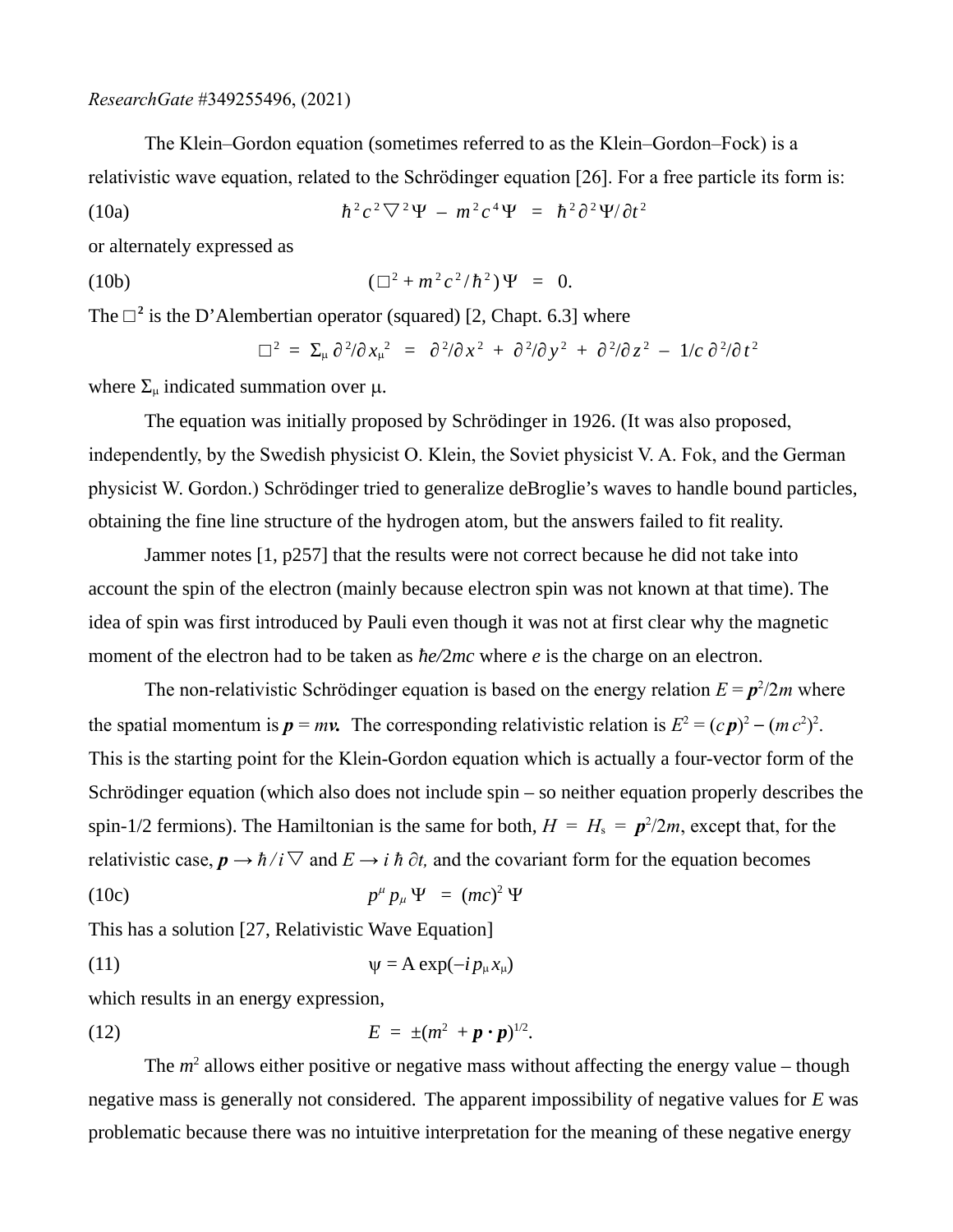The Klein–Gordon equation (sometimes referred to as the Klein–Gordon–Fock) is a relativistic wave equation, related to the Schrödinger equation [26]. For a free particle its form is:

(10a) 
$$
\hbar^2 c^2 \nabla^2 \Psi - m^2 c^4 \Psi = \hbar^2 \partial^2 \Psi / \partial t^2
$$

or alternately expressed as

(10b) 
$$
(\Box^2 + m^2 c^2 / \hbar^2) \Psi = 0.
$$

The  $\square$ <sup>2</sup> is the D'Alembertian operator (squared) [2, Chapt. 6.3] where

$$
\Box^2 = \Sigma_\mu \partial^2/\partial x_\mu^2 = \partial^2/\partial x^2 + \partial^2/\partial y^2 + \partial^2/\partial z^2 - 1/c \partial^2/\partial t^2
$$

where  $\Sigma_{\mu}$  indicated summation over  $\mu$ .

The equation was initially proposed by Schrödinger in 1926. (It was also proposed, independently, by the Swedish physicist O. Klein, the Soviet physicist V. A. Fok, and the German physicist W. Gordon.) Schrödinger tried to generalize deBroglie's waves to handle bound particles, obtaining the fine line structure of the hydrogen atom, but the answers failed to fit reality.

Jammer notes [1, p257] that the results were not correct because he did not take into account the spin of the electron (mainly because electron spin was not known at that time). The idea of spin was first introduced by Pauli even though it was not at first clear why the magnetic moment of the electron had to be taken as *ћe/*2*mc* where *e* is the charge on an electron.

The non-relativistic Schrödinger equation is based on the energy relation  $E = p^2/2m$  where the spatial momentum is  $p = mv$ . The corresponding relativistic relation is  $E^2 = (cp)^2 - (mc^2)^2$ . This is the starting point for the Klein-Gordon equation which is actually a four-vector form of the Schrödinger equation (which also does not include spin – so neither equation properly describes the spin-1/2 fermions). The Hamiltonian is the same for both,  $H = H_s = p^2/2m$ , except that, for the relativistic case,  $p \rightarrow \hbar / i \nabla$  and  $E \rightarrow i \hbar \partial t$ , and the covariant form for the equation becomes

$$
(10c) \t\t\t p^{\mu} p_{\mu} \Psi = (mc)^2 \Psi
$$

This has a solution [27, Relativistic Wave Equation]

(11) 
$$
\psi = A \exp(-i p_{\mu} x_{\mu})
$$

which results in an energy expression,

(12) 
$$
E = \pm (m^2 + p \cdot p)^{1/2}.
$$

The  $m<sup>2</sup>$  allows either positive or negative mass without affecting the energy value – though negative mass is generally not considered. The apparent impossibility of negative values for *E* was problematic because there was no intuitive interpretation for the meaning of these negative energy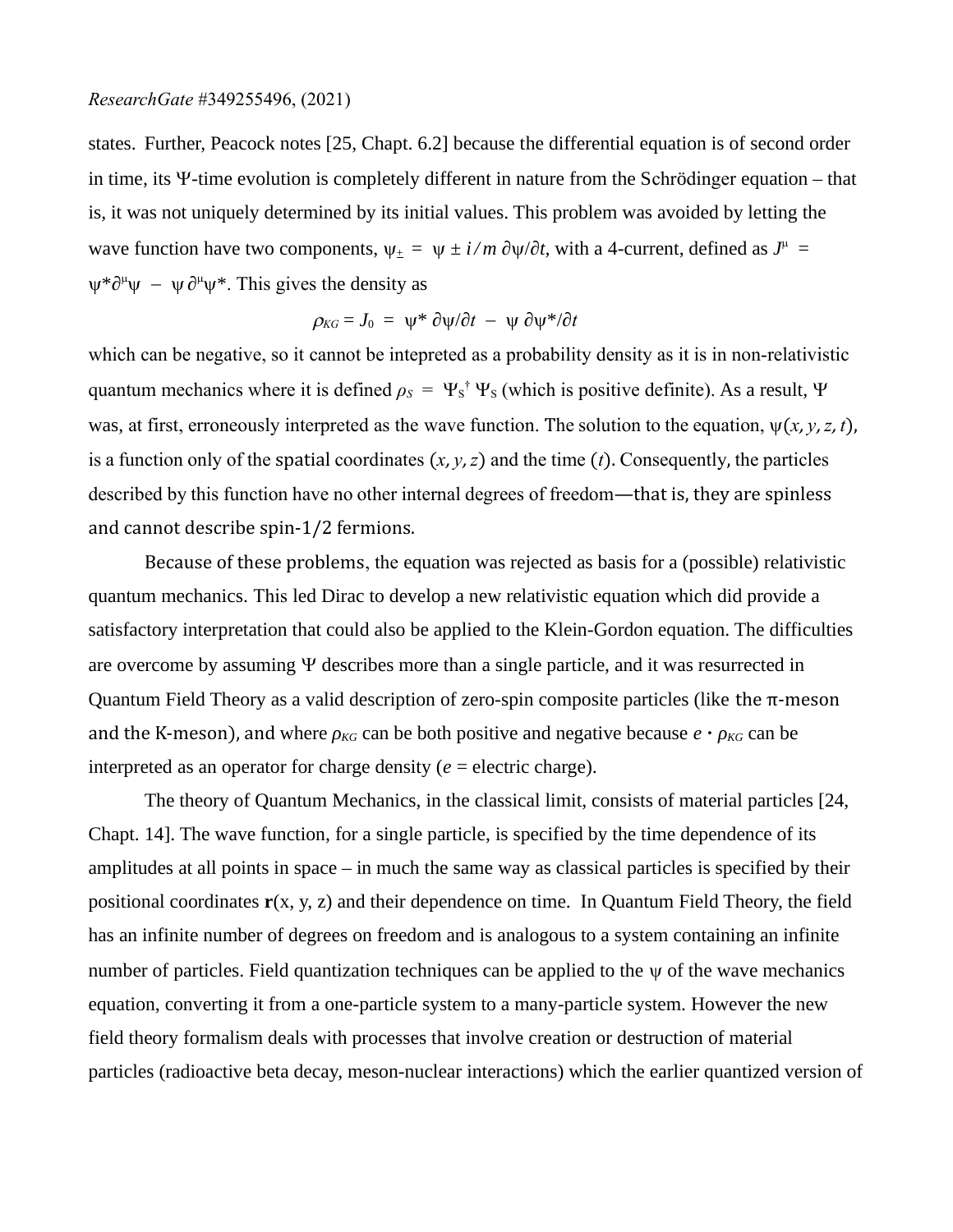states. Further, Peacock notes [25, Chapt. 6.2] because the differential equation is of second order in time, its Y-time evolution is completely different in nature from the Schrödinger equation – that is, it was not uniquely determined by its initial values. This problem was avoided by letting the wave function have two components,  $\psi_{\pm} = \psi \pm i/m \partial \psi / \partial t$ , with a 4-current, defined as  $J^{\mu} =$  $\Psi^* \partial^\mu \Psi - \Psi \partial^\mu \Psi^*$ . This gives the density as

$$
\rho_{KG} = J_0 = \psi^* \partial \psi / \partial t - \psi \partial \psi^* / \partial t
$$

which can be negative, so it cannot be intepreted as a probability density as it is in non-relativistic quantum mechanics where it is defined  $\rho_S = \Psi_S^{\dagger} \Psi_S$  (which is positive definite). As a result,  $\Psi$ was, at first, erroneously interpreted as the wave function. The solution to the equation,  $\psi(x, y, z, t)$ , is a function only of the spatial coordinates  $(x, y, z)$  and the time  $(t)$ . Consequently, the particles described by this function have no other internal degrees of freedom—that is, they are spinless and cannot describe spin-1/2 fermions.

Because of these problems, the equation was rejected as basis for a (possible) relativistic quantum mechanics. This led Dirac to develop a new relativistic equation which did provide a satisfactory interpretation that could also be applied to the Klein-Gordon equation. The difficulties are overcome by assuming  $\Psi$  describes more than a single particle, and it was resurrected in Quantum Field Theory as a valid description of zero-spin composite particles (like the π-meson and the K-meson), and where *ρKG* can be both positive and negative because *e* **·** *ρKG* can be interpreted as an operator for charge density  $(e =$  electric charge).

The theory of Quantum Mechanics, in the classical limit, consists of material particles [24, Chapt. 14]. The wave function, for a single particle, is specified by the time dependence of its amplitudes at all points in space – in much the same way as classical particles is specified by their positional coordinates **r**(x, y, z) and their dependence on time. In Quantum Field Theory, the field has an infinite number of degrees on freedom and is analogous to a system containing an infinite number of particles. Field quantization techniques can be applied to the  $\psi$  of the wave mechanics equation, converting it from a one-particle system to a many-particle system. However the new field theory formalism deals with processes that involve creation or destruction of material particles (radioactive beta decay, meson-nuclear interactions) which the earlier quantized version of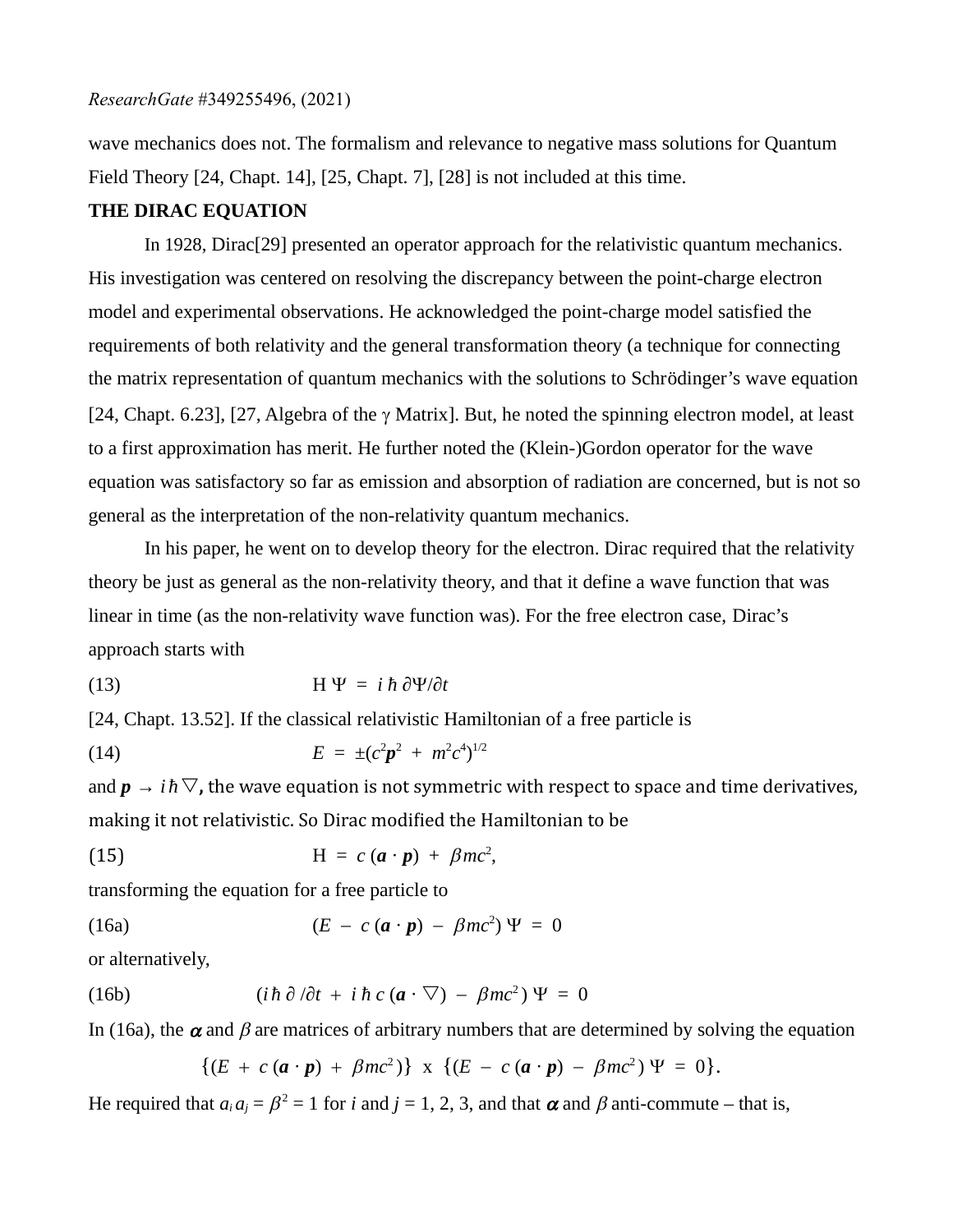wave mechanics does not. The formalism and relevance to negative mass solutions for Quantum Field Theory [24, Chapt. 14], [25, Chapt. 7], [28] is not included at this time.

#### **THE DIRAC EQUATION**

In 1928, Dirac[29] presented an operator approach for the relativistic quantum mechanics. His investigation was centered on resolving the discrepancy between the point-charge electron model and experimental observations. He acknowledged the point-charge model satisfied the requirements of both relativity and the general transformation theory (a technique for connecting the matrix representation of quantum mechanics with the solutions to Schrödinger's wave equation [24, Chapt. 6.23], [27, Algebra of the  $\gamma$  Matrix]. But, he noted the spinning electron model, at least to a first approximation has merit. He further noted the (Klein-)Gordon operator for the wave equation was satisfactory so far as emission and absorption of radiation are concerned, but is not so general as the interpretation of the non-relativity quantum mechanics.

In his paper, he went on to develop theory for the electron. Dirac required that the relativity theory be just as general as the non-relativity theory, and that it define a wave function that was linear in time (as the non-relativity wave function was). For the free electron case, Dirac's approach starts with

(13) H Y = *i ћ* ∂Y/∂*t*

[24, Chapt. 13.52]. If the classical relativistic Hamiltonian of a free particle is

(14) 
$$
E = \pm (c^2 p^2 + m^2 c^4)^{1/2}
$$

and  $p \rightarrow i\hbar \nabla$ , the wave equation is not symmetric with respect to space and time derivatives, making it not relativistic. So Dirac modified the Hamiltonian to be

(15) 
$$
H = c (a \cdot p) + \beta mc^2,
$$

transforming the equation for a free particle to

(16a) 
$$
(E - c(\mathbf{a} \cdot \mathbf{p}) - \beta mc^2) \Psi = 0
$$

or alternatively,

(16b) 
$$
(i\hbar \partial/\partial t + i\hbar c (\mathbf{a} \cdot \nabla) - \beta mc^2) \Psi = 0
$$

In (16a), the  $\alpha$  and  $\beta$  are matrices of arbitrary numbers that are determined by solving the equation

$$
\{(E + c(\boldsymbol{a} \cdot \boldsymbol{p}) + \beta mc^2)\} \times \{(E - c(\boldsymbol{a} \cdot \boldsymbol{p}) - \beta mc^2)\Psi = 0\}.
$$

He required that  $a_i a_j = \beta^2 = 1$  for *i* and  $j = 1, 2, 3$ , and that  $\alpha$  and  $\beta$  anti-commute – that is,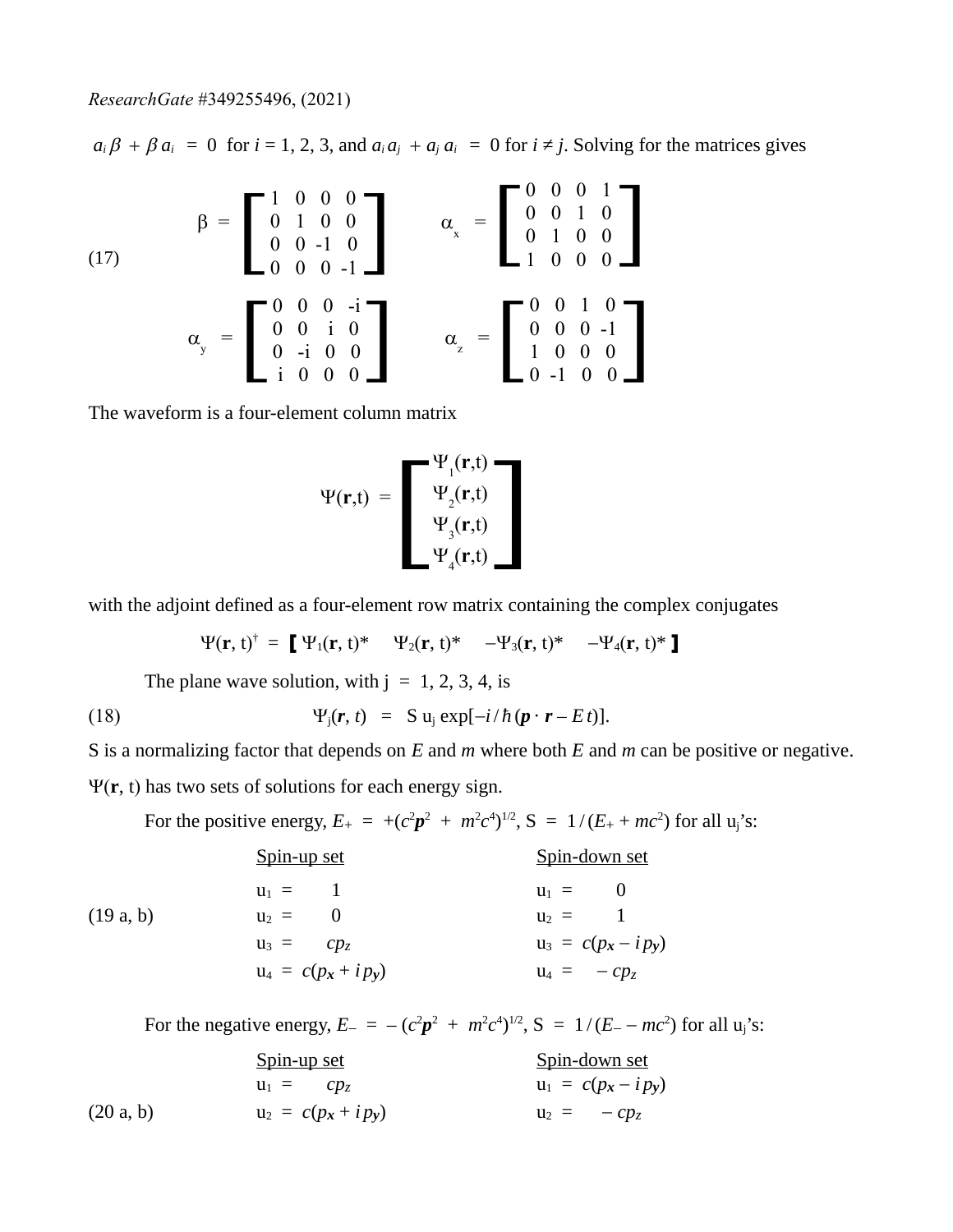$a_i \beta + \beta a_i = 0$  for  $i = 1, 2, 3$ , and  $a_i a_j + a_j a_i = 0$  for  $i \neq j$ . Solving for the matrices gives

(17)  
\n
$$
\beta = \begin{bmatrix}\n1 & 0 & 0 & 0 \\
0 & 1 & 0 & 0 \\
0 & 0 & -1 & 0 \\
0 & 0 & 0 & -1\n\end{bmatrix}\n\qquad\n\alpha_x = \begin{bmatrix}\n0 & 0 & 0 & 1 \\
0 & 0 & 1 & 0 \\
0 & 1 & 0 & 0 \\
1 & 0 & 0 & 0\n\end{bmatrix}
$$
\n
$$
\alpha_y = \begin{bmatrix}\n0 & 0 & 0 & -i \\
0 & 0 & i & 0 \\
0 & -i & 0 & 0 \\
i & 0 & 0 & 0\n\end{bmatrix}\n\qquad\n\alpha_z = \begin{bmatrix}\n0 & 0 & 1 & 0 \\
0 & 0 & 0 & -1 \\
1 & 0 & 0 & 0 \\
0 & -1 & 0 & 0\n\end{bmatrix}
$$

The waveform is a four-element column matrix

$$
\Psi(\mathbf{r},t) = \begin{bmatrix} \Psi_1(\mathbf{r},t) \\ \Psi_2(\mathbf{r},t) \\ \Psi_3(\mathbf{r},t) \\ \Psi_4(\mathbf{r},t) \end{bmatrix}
$$

with the adjoint defined as a four-element row matrix containing the complex conjugates

$$
\Psi(\mathbf{r},t)^{\dagger} = \begin{bmatrix} \Psi_1(\mathbf{r},t)^* & \Psi_2(\mathbf{r},t)^* & -\Psi_3(\mathbf{r},t)^* & -\Psi_4(\mathbf{r},t)^* \end{bmatrix}
$$

The plane wave solution, with  $j = 1, 2, 3, 4$ , is

(18)  $\Psi_i(\mathbf{r}, t) = S u_i \exp[-i/\hbar(\mathbf{p} \cdot \mathbf{r} - E t)].$ 

S is a normalizing factor that depends on *E* and *m* where both *E* and *m* can be positive or negative.

Y(**r**, t) has two sets of solutions for each energy sign.

For the positive energy,  $E_{+} = +(c^{2}p^{2} + m^{2}c^{4})^{1/2}$ ,  $S = 1/(E_{+} + mc^{2})$  for all  $u_{j}$ 's:

|          | Spin-up set            | <u>Spin-down set</u>  |
|----------|------------------------|-----------------------|
|          | $u_1 = 1$              | $u_1 = 0$             |
| (19a, b) | $u_2 = 0$              | $u_2 = 1$             |
|          | $u_3 = c p_z$          | $u_3 = c(p_x - ip_y)$ |
|          | $u_4 = c(p_x + i p_y)$ | $u_4 = -cp_z$         |
|          |                        |                       |

For the negative energy,  $E_{-} = -(c^2p^2 + m^2c^4)^{1/2}$ ,  $S = 1/(E_{-} - mc^2)$  for all  $u_j$ 's:

|           | Spin-up set<br>$u_1 = c p_z$ | <u>Spin-down set</u><br>$u_1 = c(p_x - ip_y)$ |
|-----------|------------------------------|-----------------------------------------------|
|           |                              |                                               |
| (20 a, b) | $u_2 = c(p_x + i p_y)$       | $u_2 = -cp_z$                                 |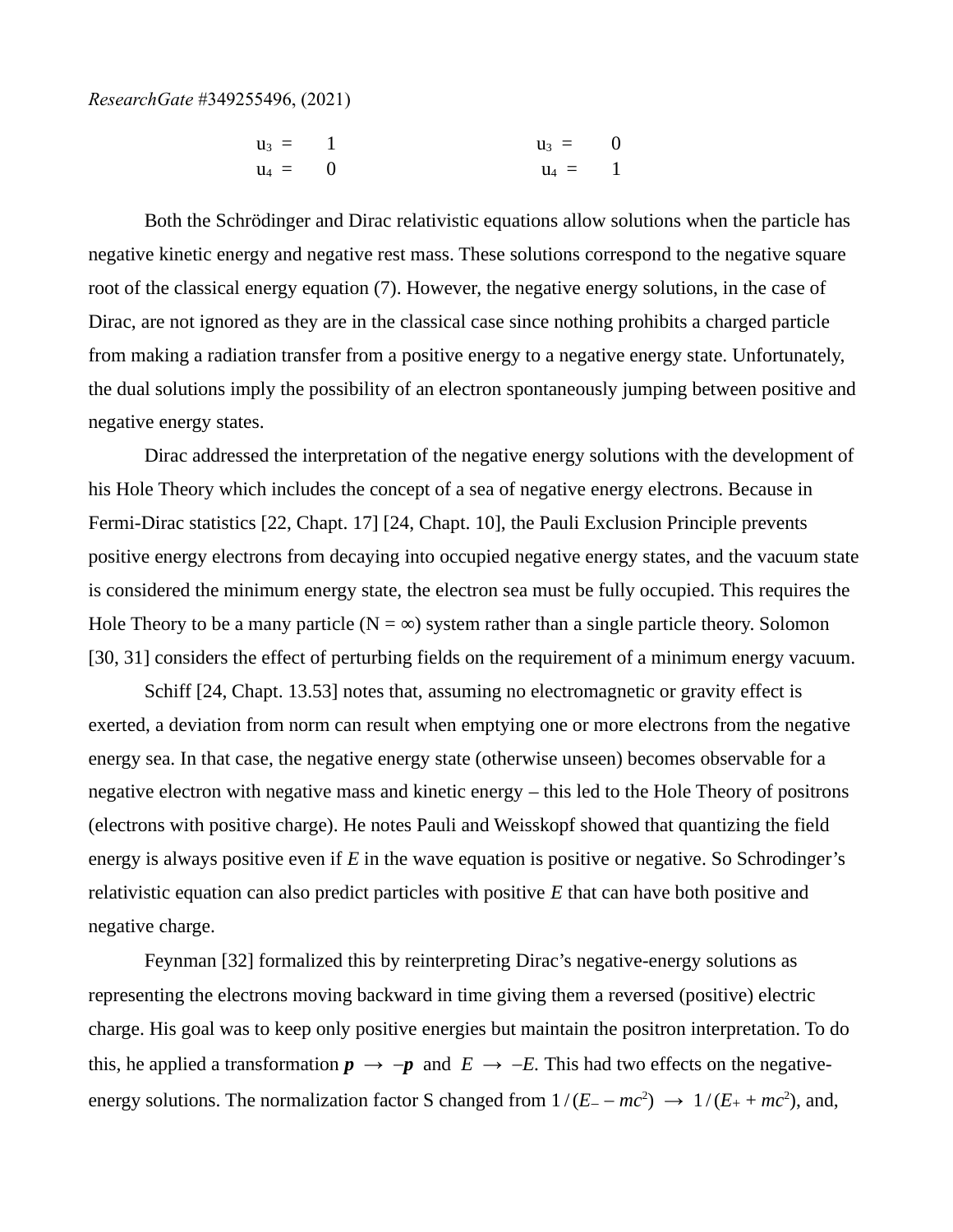$$
u_3 = 1 \n u_4 = 0 \n u_5 = 0 \n u_6 = 1
$$

Both the Schrödinger and Dirac relativistic equations allow solutions when the particle has negative kinetic energy and negative rest mass. These solutions correspond to the negative square root of the classical energy equation (7). However, the negative energy solutions, in the case of Dirac, are not ignored as they are in the classical case since nothing prohibits a charged particle from making a radiation transfer from a positive energy to a negative energy state. Unfortunately, the dual solutions imply the possibility of an electron spontaneously jumping between positive and negative energy states.

Dirac addressed the interpretation of the negative energy solutions with the development of his Hole Theory which includes the concept of a sea of negative energy electrons. Because in Fermi-Dirac statistics [22, Chapt. 17] [24, Chapt. 10], the Pauli Exclusion Principle prevents positive energy electrons from decaying into occupied negative energy states, and the vacuum state is considered the minimum energy state, the electron sea must be fully occupied. This requires the Hole Theory to be a many particle ( $N = \infty$ ) system rather than a single particle theory. Solomon [30, 31] considers the effect of perturbing fields on the requirement of a minimum energy vacuum.

Schiff [24, Chapt. 13.53] notes that, assuming no electromagnetic or gravity effect is exerted, a deviation from norm can result when emptying one or more electrons from the negative energy sea. In that case, the negative energy state (otherwise unseen) becomes observable for a negative electron with negative mass and kinetic energy – this led to the Hole Theory of positrons (electrons with positive charge). He notes Pauli and Weisskopf showed that quantizing the field energy is always positive even if *E* in the wave equation is positive or negative. So Schrodinger's relativistic equation can also predict particles with positive *E* that can have both positive and negative charge.

Feynman [32] formalized this by reinterpreting Dirac's negative-energy solutions as representing the electrons moving backward in time giving them a reversed (positive) electric charge. His goal was to keep only positive energies but maintain the positron interpretation. To do this, he applied a transformation  $p \rightarrow -p$  and  $E \rightarrow -E$ . This had two effects on the negativeenergy solutions. The normalization factor S changed from  $1/(E_{-} - mc^2) \rightarrow 1/(E_{+} + mc^2)$ , and,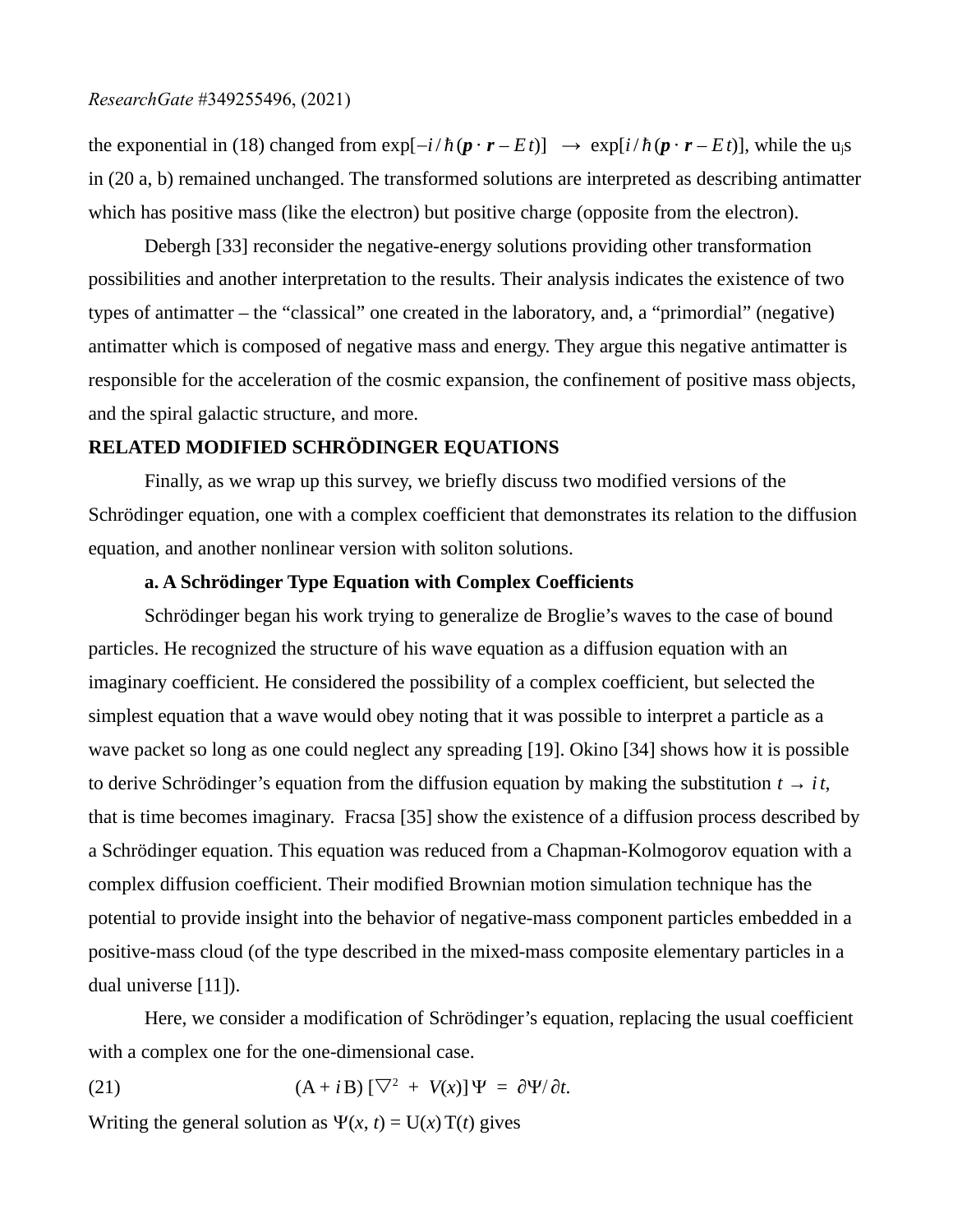the exponential in (18) changed from  $\exp[-i/\hbar(\mathbf{p}\cdot\mathbf{r}-E t)] \rightarrow \exp[i/\hbar(\mathbf{p}\cdot\mathbf{r}-E t)]$ , while the u<sub>i</sub>s in (20 a, b) remained unchanged. The transformed solutions are interpreted as describing antimatter which has positive mass (like the electron) but positive charge (opposite from the electron).

Debergh [33] reconsider the negative-energy solutions providing other transformation possibilities and another interpretation to the results. Their analysis indicates the existence of two types of antimatter – the "classical" one created in the laboratory, and, a "primordial" (negative) antimatter which is composed of negative mass and energy. They argue this negative antimatter is responsible for the acceleration of the cosmic expansion, the confinement of positive mass objects, and the spiral galactic structure, and more.

#### **RELATED MODIFIED SCHRÖDINGER EQUATIONS**

Finally, as we wrap up this survey, we briefly discuss two modified versions of the Schrödinger equation, one with a complex coefficient that demonstrates its relation to the diffusion equation, and another nonlinear version with soliton solutions.

### **a. A Schrödinger Type Equation with Complex Coefficients**

Schrödinger began his work trying to generalize de Broglie's waves to the case of bound particles. He recognized the structure of his wave equation as a diffusion equation with an imaginary coefficient. He considered the possibility of a complex coefficient, but selected the simplest equation that a wave would obey noting that it was possible to interpret a particle as a wave packet so long as one could neglect any spreading [19]. Okino [34] shows how it is possible to derive Schrödinger's equation from the diffusion equation by making the substitution  $t \rightarrow it$ , that is time becomes imaginary. Fracsa [35] show the existence of a diffusion process described by a Schrödinger equation. This equation was reduced from a Chapman-Kolmogorov equation with a complex diffusion coefficient. Their modified Brownian motion simulation technique has the potential to provide insight into the behavior of negative-mass component particles embedded in a positive-mass cloud (of the type described in the mixed-mass composite elementary particles in a dual universe [11]).

Here, we consider a modification of Schrödinger's equation, replacing the usual coefficient with a complex one for the one-dimensional case.

(21) 
$$
(A + iB) [\nabla^2 + V(x)] \Psi = \partial \Psi / \partial t.
$$

Writing the general solution as  $\Psi(x, t) = U(x)T(t)$  gives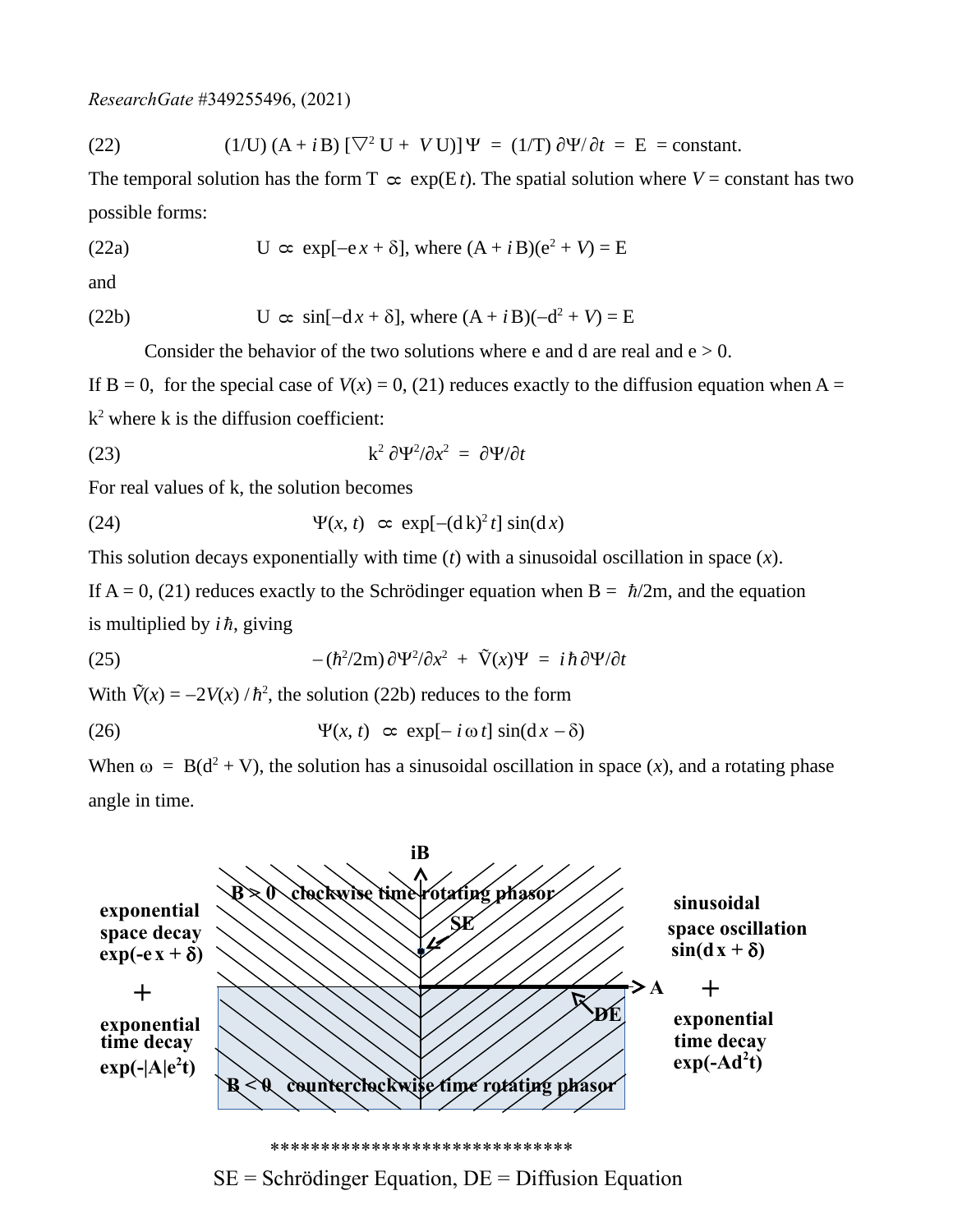(22) 
$$
(1/U) (A + iB) [\nabla^2 U + VU)] \Psi = (1/T) \partial \Psi / \partial t = E = \text{constant}.
$$

The temporal solution has the form  $T \propto \exp(E t)$ . The spatial solution where *V* = constant has two possible forms:

(22a) 
$$
U \propto exp[-e x + \delta], where (A + iB)(e^2 + V) = E
$$

and

(22b) 
$$
U \propto \sin[-dx + \delta], \text{ where } (A + iB)(-d^2 + V) = E
$$

Consider the behavior of the two solutions where e and d are real and  $e > 0$ .

If  $B = 0$ , for the special case of  $V(x) = 0$ , (21) reduces exactly to the diffusion equation when A =  $k^2$  where k is the diffusion coefficient:

(23) 
$$
k^2 \frac{\partial \Psi^2}{\partial x^2} = \frac{\partial \Psi}{\partial t}
$$

For real values of k, the solution becomes

(24) 
$$
\Psi(x, t) \propto \exp[-(\mathrm{d}k)^2 t] \sin(\mathrm{d}x)
$$

This solution decays exponentially with time (*t*) with a sinusoidal oscillation in space (*x*).

If A = 0, (21) reduces exactly to the Schrödinger equation when B =  $\hbar/2m$ , and the equation is multiplied by  $i\hbar$ , giving

(25) 
$$
-(\hbar^2/2m)\partial\Psi^2/\partial x^2 + \tilde{V}(x)\Psi = i\hbar\partial\Psi/\partial t
$$

With  $\tilde{V}(x) = -2V(x)/\hbar^2$ , the solution (22b) reduces to the form

(26) 
$$
\Psi(x, t) \propto \exp[-i\omega t] \sin(dx - \delta)
$$

When  $\omega = B(d^2 + V)$ , the solution has a sinusoidal oscillation in space (x), and a rotating phase angle in time.



 $SE = Schrödinger Equation, DE = Diffusion Equation$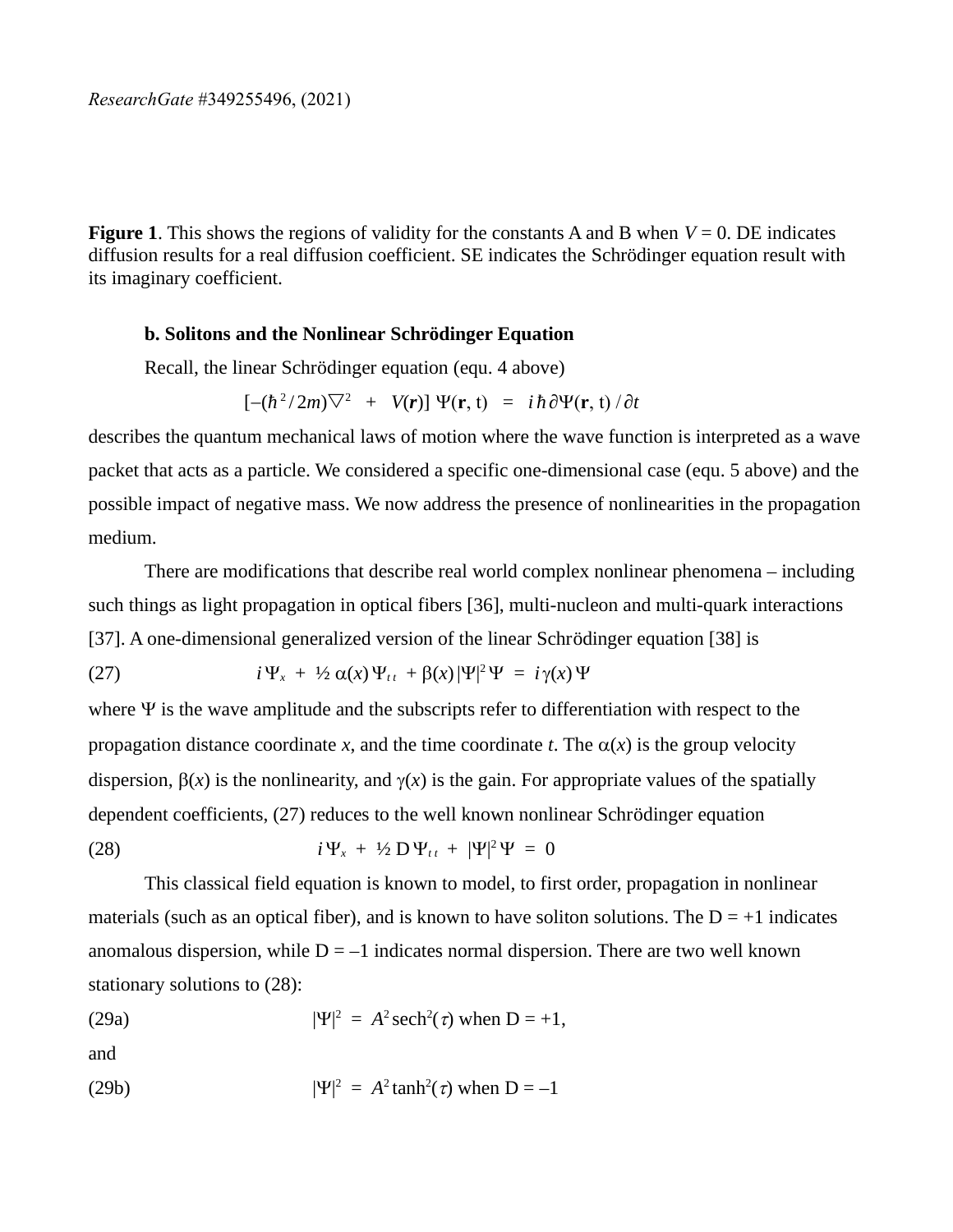**Figure 1**. This shows the regions of validity for the constants A and B when *V* = 0. DE indicates diffusion results for a real diffusion coefficient. SE indicates the Schrödinger equation result with its imaginary coefficient.

## **b. Solitons and the Nonlinear Schrödinger Equation**

Recall, the linear Schrödinger equation (equ. 4 above)

$$
[-(\hbar^2/2m)\nabla^2 + V(r)] \Psi(r,t) = i\hbar \partial \Psi(r,t) / \partial t
$$

describes the quantum mechanical laws of motion where the wave function is interpreted as a wave packet that acts as a particle. We considered a specific one-dimensional case (equ. 5 above) and the possible impact of negative mass. We now address the presence of nonlinearities in the propagation medium.

There are modifications that describe real world complex nonlinear phenomena – including such things as light propagation in optical fibers [36], multi-nucleon and multi-quark interactions [37]. A one-dimensional generalized version of the linear Schrödinger equation [38] is

(27) 
$$
i\Psi_x + \frac{1}{2}\alpha(x)\Psi_{tt} + \beta(x)|\Psi|^2\Psi = i\gamma(x)\Psi
$$

where  $\Psi$  is the wave amplitude and the subscripts refer to differentiation with respect to the propagation distance coordinate *x*, and the time coordinate *t*. The  $\alpha(x)$  is the group velocity dispersion,  $\beta(x)$  is the nonlinearity, and  $\gamma(x)$  is the gain. For appropriate values of the spatially dependent coefficients, (27) reduces to the well known nonlinear Schrödinger equation

(28) 
$$
i\Psi_x + \frac{1}{2} D \Psi_{tt} + |\Psi|^2 \Psi = 0
$$

This classical field equation is known to model, to first order, propagation in nonlinear materials (such as an optical fiber), and is known to have soliton solutions. The  $D = +1$  indicates anomalous dispersion, while  $D = -1$  indicates normal dispersion. There are two well known stationary solutions to (28):

(29a) 
$$
|\Psi|^2 = A^2 \operatorname{sech}^2(\tau)
$$
 when D = +1,

and

(29b) 
$$
|\Psi|^2 = A^2 \tanh^2(\tau)
$$
 when D = -1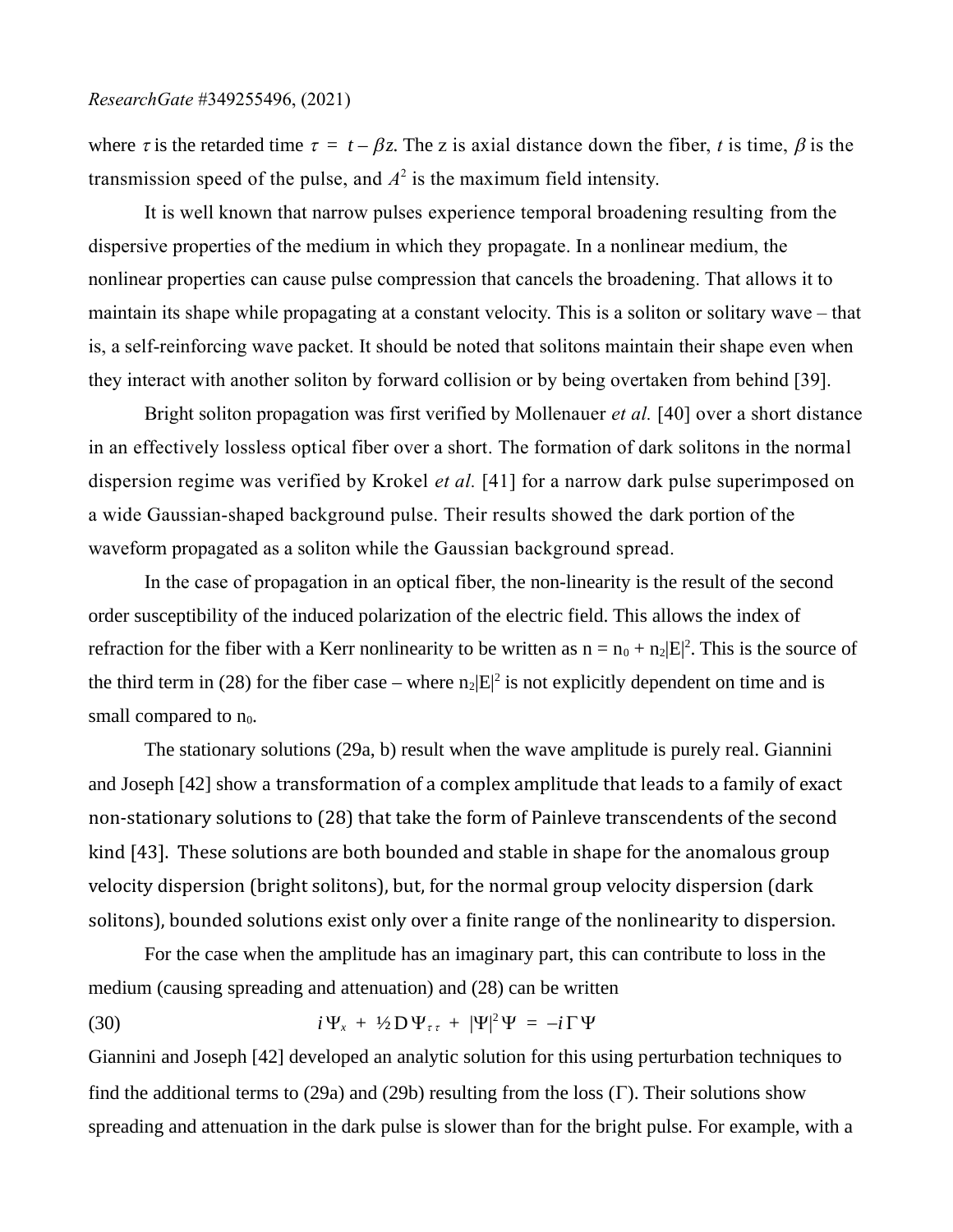where  $\tau$  is the retarded time  $\tau = t - \beta z$ . The z is axial distance down the fiber, *t* is time,  $\beta$  is the transmission speed of the pulse, and  $A^2$  is the maximum field intensity.

It is well known that narrow pulses experience temporal broadening resulting from the dispersive properties of the medium in which they propagate. In a nonlinear medium, the nonlinear properties can cause pulse compression that cancels the broadening. That allows it to maintain its shape while propagating at a constant velocity. This is a soliton or solitary wave – that is, a self-reinforcing wave packet. It should be noted that solitons maintain their shape even when they interact with another soliton by forward collision or by being overtaken from behind [39].

Bright soliton propagation was first verified by Mollenauer *et al.* [40] over a short distance in an effectively lossless optical fiber over a short. The formation of dark solitons in the normal dispersion regime was verified by Krokel *et al.* [41] for a narrow dark pulse superimposed on a wide Gaussian-shaped background pulse. Their results showed the dark portion of the waveform propagated as a soliton while the Gaussian background spread.

In the case of propagation in an optical fiber, the non-linearity is the result of the second order susceptibility of the induced polarization of the electric field. This allows the index of refraction for the fiber with a Kerr nonlinearity to be written as  $n = n_0 + n_2|E|^2$ . This is the source of the third term in (28) for the fiber case – where  $n_2|E|^2$  is not explicitly dependent on time and is small compared to  $n_0$ .

The stationary solutions (29a, b) result when the wave amplitude is purely real. Giannini and Joseph [42] show a transformation of a complex amplitude that leads to a family of exact non-stationary solutions to (28) that take the form of Painleve transcendents of the second kind [43]. These solutions are both bounded and stable in shape for the anomalous group velocity dispersion (bright solitons), but, for the normal group velocity dispersion (dark solitons), bounded solutions exist only over a finite range of the nonlinearity to dispersion.

For the case when the amplitude has an imaginary part, this can contribute to loss in the medium (causing spreading and attenuation) and (28) can be written

(30) 
$$
i\Psi_x + \frac{1}{2} D \Psi_{\tau\tau} + |\Psi|^2 \Psi = -i \Gamma \Psi
$$

Giannini and Joseph [42] developed an analytic solution for this using perturbation techniques to find the additional terms to (29a) and (29b) resulting from the loss  $(\Gamma)$ . Their solutions show spreading and attenuation in the dark pulse is slower than for the bright pulse. For example, with a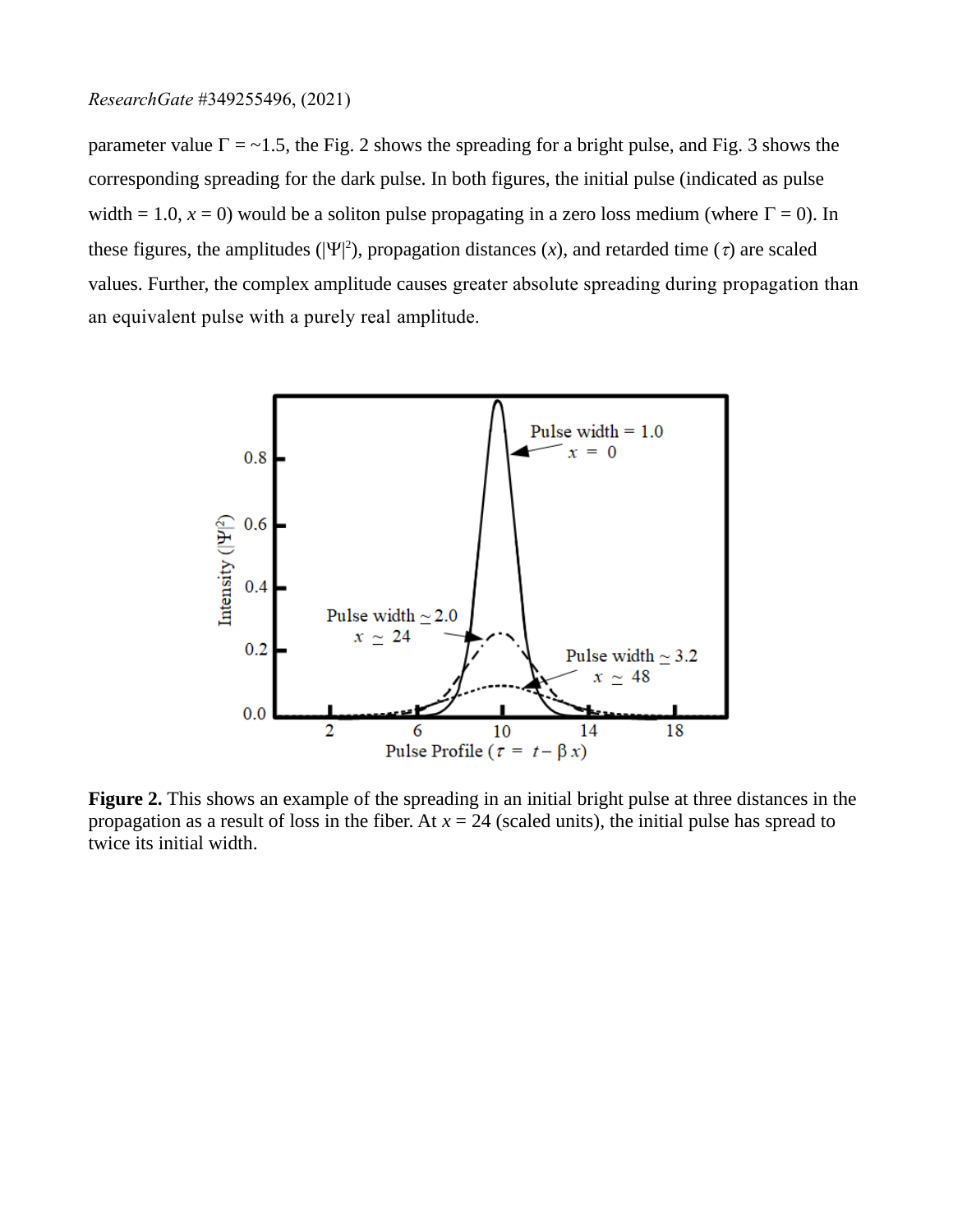parameter value  $\Gamma$  = ~1.5, the Fig. 2 shows the spreading for a bright pulse, and Fig. 3 shows the corresponding spreading for the dark pulse. In both figures, the initial pulse (indicated as pulse width = 1.0,  $x = 0$ ) would be a soliton pulse propagating in a zero loss medium (where  $\Gamma = 0$ ). In these figures, the amplitudes ( $|\Psi|^2$ ), propagation distances (x), and retarded time ( $\tau$ ) are scaled values. Further, the complex amplitude causes greater absolute spreading during propagation than an equivalent pulse with a purely real amplitude.



**Figure 2.** This shows an example of the spreading in an initial bright pulse at three distances in the propagation as a result of loss in the fiber. At *x* = 24 (scaled units), the initial pulse has spread to twice its initial width.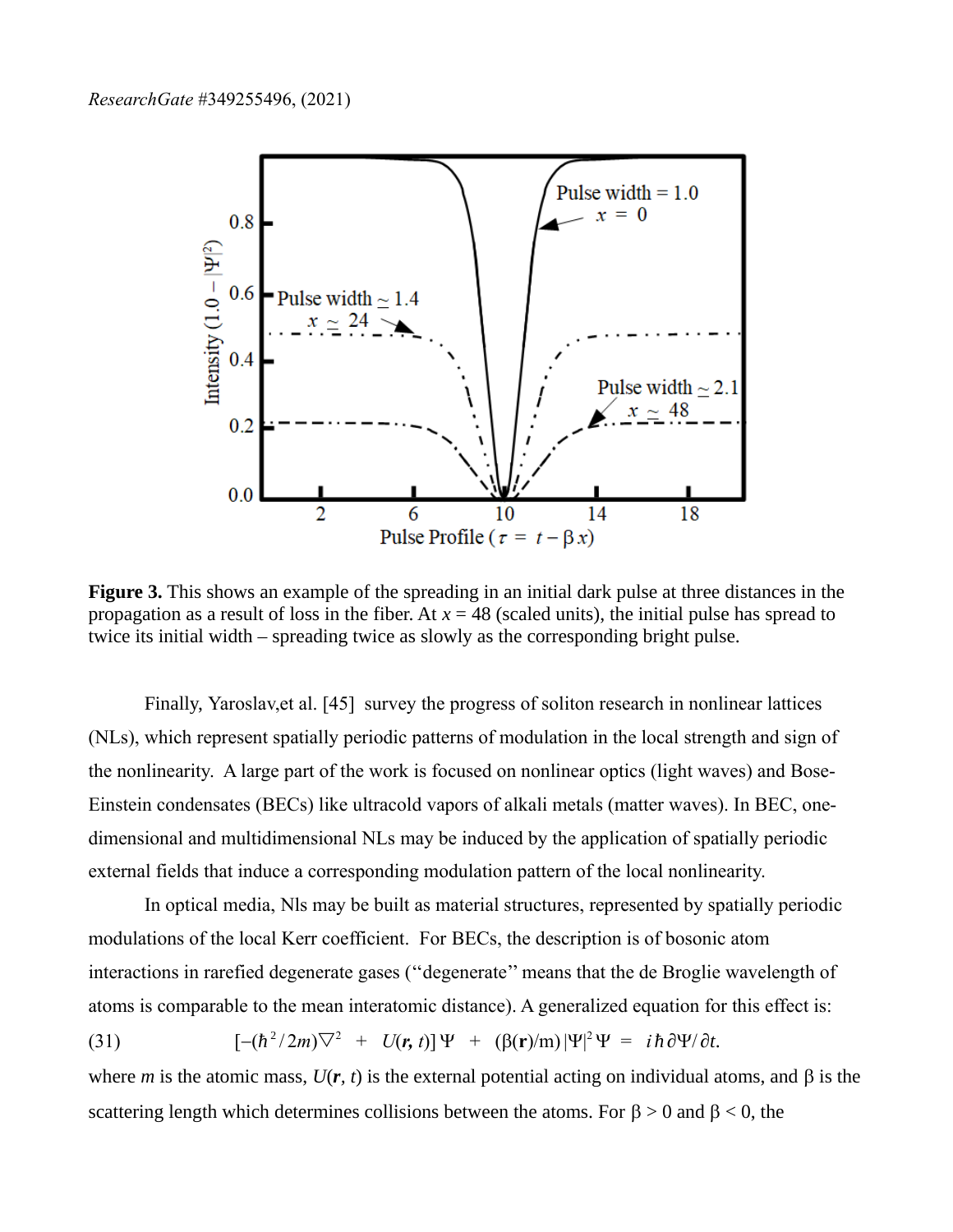

**Figure 3.** This shows an example of the spreading in an initial dark pulse at three distances in the propagation as a result of loss in the fiber. At  $x = 48$  (scaled units), the initial pulse has spread to twice its initial width – spreading twice as slowly as the corresponding bright pulse.

Finally, Yaroslav,et al. [45] survey the progress of soliton research in nonlinear lattices (NLs), which represent spatially periodic patterns of modulation in the local strength and sign of the nonlinearity. A large part of the work is focused on nonlinear optics (light waves) and Bose-Einstein condensates (BECs) like ultracold vapors of alkali metals (matter waves). In BEC, onedimensional and multidimensional NLs may be induced by the application of spatially periodic external fields that induce a corresponding modulation pattern of the local nonlinearity.

In optical media, Nls may be built as material structures, represented by spatially periodic modulations of the local Kerr coefficient. For BECs, the description is of bosonic atom interactions in rarefied degenerate gases (''degenerate'' means that the de Broglie wavelength of atoms is comparable to the mean interatomic distance). A generalized equation for this effect is:

(31) 
$$
[-(\hbar^2/2m)\nabla^2 + U(\mathbf{r}, t)]\Psi + (\beta(\mathbf{r})/m)|\Psi|^2\Psi = i\hbar \partial \Psi/\partial t.
$$

where *m* is the atomic mass,  $U(r, t)$  is the external potential acting on individual atoms, and  $\beta$  is the scattering length which determines collisions between the atoms. For  $\beta > 0$  and  $\beta < 0$ , the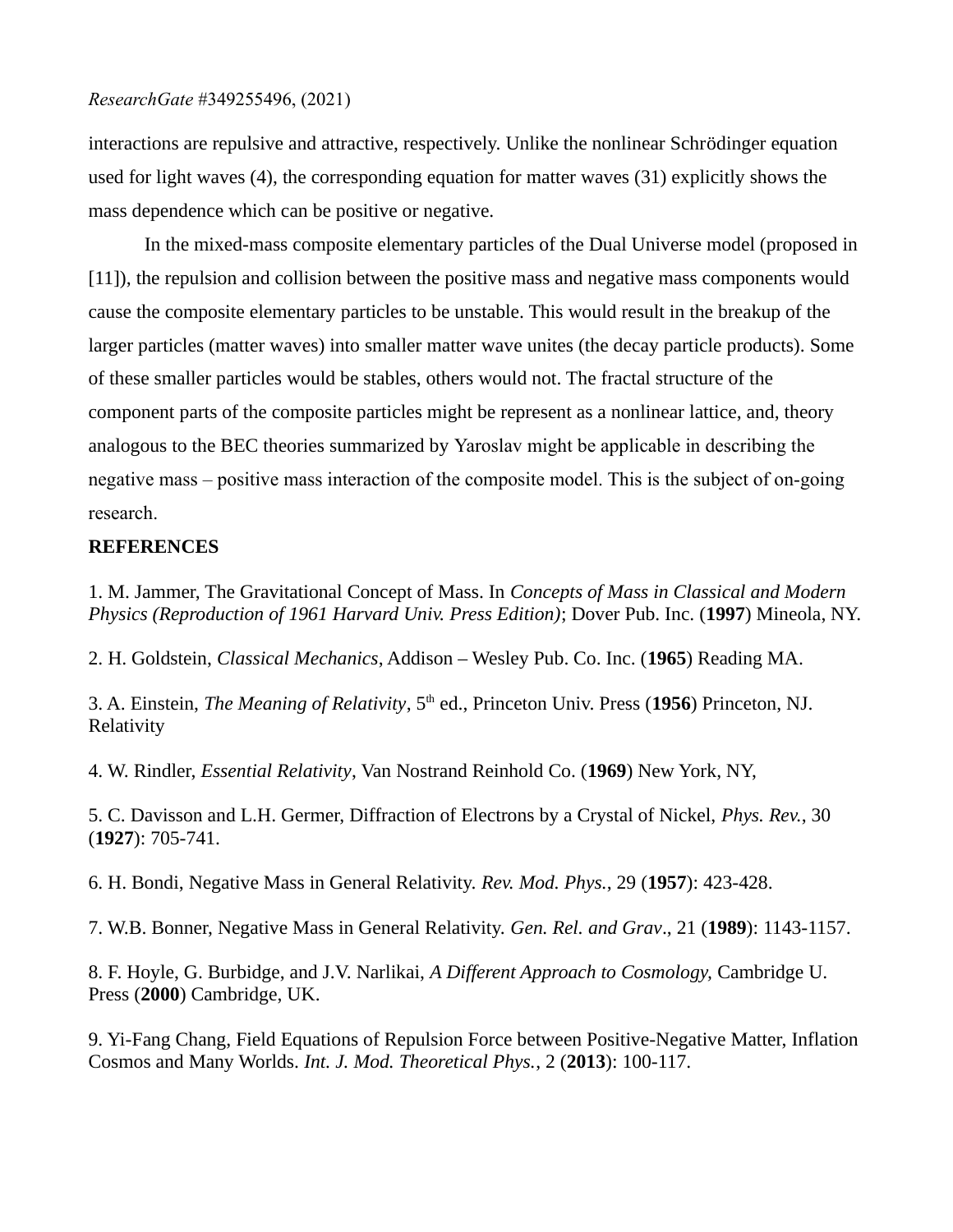interactions are repulsive and attractive, respectively. Unlike the nonlinear Schrödinger equation used for light waves (4), the corresponding equation for matter waves (31) explicitly shows the mass dependence which can be positive or negative.

In the mixed-mass composite elementary particles of the Dual Universe model (proposed in [11]), the repulsion and collision between the positive mass and negative mass components would cause the composite elementary particles to be unstable. This would result in the breakup of the larger particles (matter waves) into smaller matter wave unites (the decay particle products). Some of these smaller particles would be stables, others would not. The fractal structure of the component parts of the composite particles might be represent as a nonlinear lattice, and, theory analogous to the BEC theories summarized by Yaroslav might be applicable in describing the negative mass – positive mass interaction of the composite model. This is the subject of on-going research.

# **REFERENCES**

1. M. Jammer, The Gravitational Concept of Mass. In *Concepts of Mass in Classical and Modern Physics (Reproduction of 1961 Harvard Univ. Press Edition)*; Dover Pub. Inc. (**1997**) Mineola, NY.

2. H. Goldstein, *Classical Mechanics*, Addison – Wesley Pub. Co. Inc. (**1965**) Reading MA.

3. A. Einstein, *The Meaning of Relativity*, 5<sup>th</sup> ed., Princeton Univ. Press (1956) Princeton, NJ. Relativity

4. W. Rindler, *Essential Relativity*, Van Nostrand Reinhold Co. (**1969**) New York, NY,

5. C. Davisson and L.H. Germer, Diffraction of Electrons by a Crystal of Nickel, *Phys. Rev.*, 30 (**1927**): 705-741.

6. H. Bondi, Negative Mass in General Relativity. *Rev. Mod. Phys.*, 29 (**1957**): 423-428.

7. W.B. Bonner, Negative Mass in General Relativity. *Gen. Rel. and Grav*., 21 (**1989**): 1143-1157.

8. F. Hoyle, G. Burbidge, and J.V. Narlikai, *A Different Approach to Cosmology,* Cambridge U. Press (**2000**) Cambridge, UK.

9. Yi-Fang Chang, Field Equations of Repulsion Force between Positive-Negative Matter, Inflation Cosmos and Many Worlds. *Int. J. Mod. Theoretical Phys.*, 2 (**2013**): 100-117.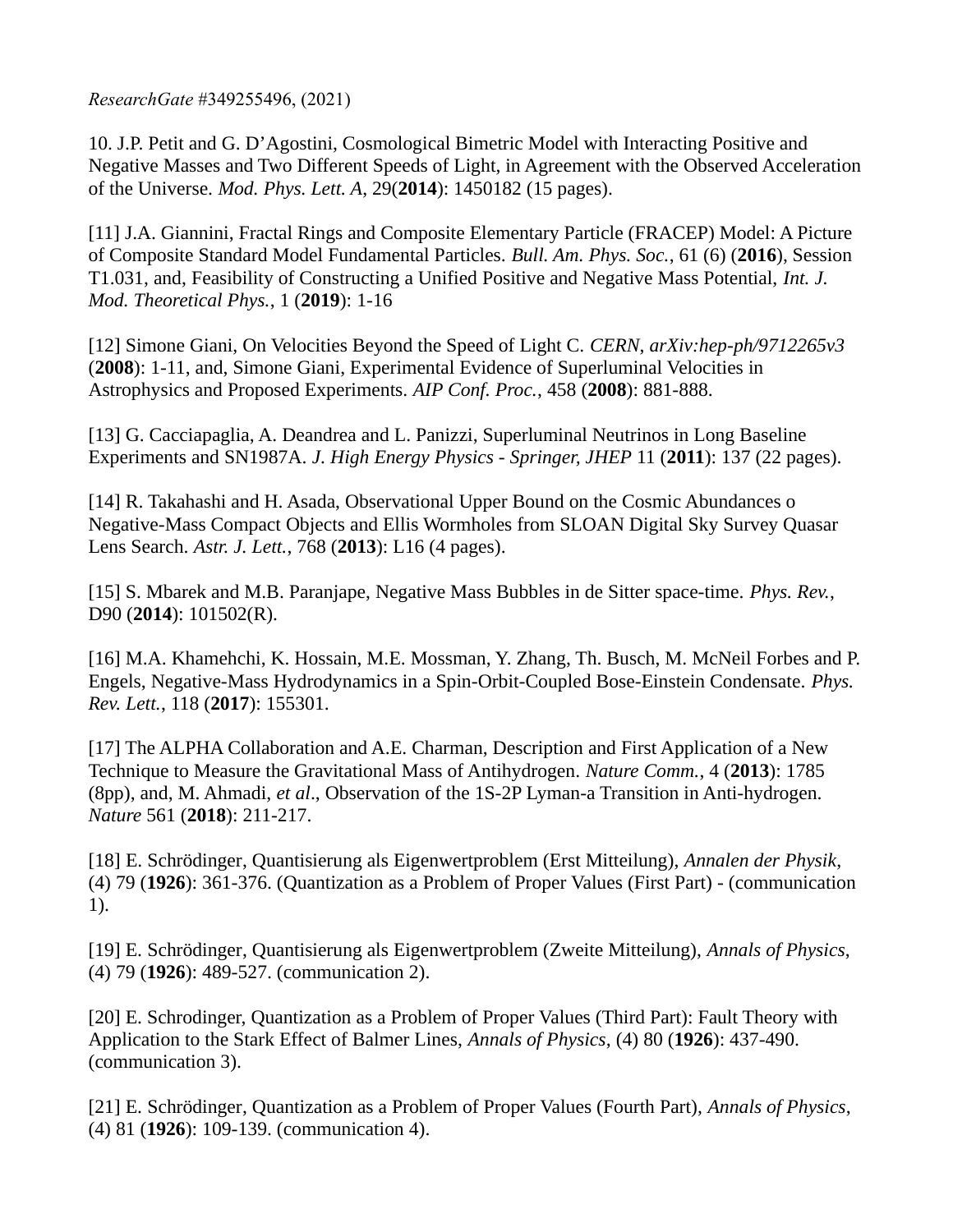10. J.P. Petit and G. D'Agostini, Cosmological Bimetric Model with Interacting Positive and Negative Masses and Two Different Speeds of Light, in Agreement with the Observed Acceleration of the Universe. *Mod. Phys. Lett. A*, 29(**2014**): 1450182 (15 pages).

[11] J.A. Giannini, Fractal Rings and Composite Elementary Particle (FRACEP) Model: A Picture of Composite Standard Model Fundamental Particles. *Bull. Am. Phys. Soc.*, 61 (6) (**2016**), Session T1.031, and, Feasibility of Constructing a Unified Positive and Negative Mass Potential, *Int. J. Mod. Theoretical Phys.*, 1 (**2019**): 1-16

[12] Simone Giani, On Velocities Beyond the Speed of Light C. *CERN*, *arXiv:hep-ph/9712265v3*  (**2008**): 1-11, and, Simone Giani, Experimental Evidence of Superluminal Velocities in Astrophysics and Proposed Experiments. *AIP Conf. Proc.*, 458 (**2008**): 881-888.

[13] G. Cacciapaglia, A. Deandrea and L. Panizzi, Superluminal Neutrinos in Long Baseline Experiments and SN1987A. *J. High Energy Physics - Springer, JHEP* 11 (**2011**): 137 (22 pages).

[14] R. Takahashi and H. Asada, Observational Upper Bound on the Cosmic Abundances o Negative-Mass Compact Objects and Ellis Wormholes from SLOAN Digital Sky Survey Quasar Lens Search. *Astr. J. Lett.*, 768 (**2013**): L16 (4 pages).

[15] S. Mbarek and M.B. Paranjape, Negative Mass Bubbles in de Sitter space-time. *Phys. Rev.*, D90 (**2014**): 101502(R).

[16] M.A. Khamehchi, K. Hossain, M.E. Mossman, Y. Zhang, Th. Busch, M. McNeil Forbes and P. Engels, Negative-Mass Hydrodynamics in a Spin-Orbit-Coupled Bose-Einstein Condensate. *Phys. Rev. Lett.*, 118 (**2017**): 155301.

[17] The ALPHA Collaboration and A.E. Charman, Description and First Application of a New Technique to Measure the Gravitational Mass of Antihydrogen. *Nature Comm.*, 4 (**2013**): 1785 (8pp), and, M. Ahmadi, *et al*., Observation of the 1S-2P Lyman-a Transition in Anti-hydrogen. *Nature* 561 (**2018**): 211-217.

[18] E. Schrödinger, Quantisierung als Eigenwertproblem (Erst Mitteilung), *Annalen der Physik*, (4) 79 (**1926**): 361-376. (Quantization as a Problem of Proper Values (First Part) - (communication 1).

[19] E. Schrödinger, Quantisierung als Eigenwertproblem (Zweite Mitteilung), *Annals of Physics*, (4) 79 (**1926**): 489-527. (communication 2).

[20] E. Schrodinger, Quantization as a Problem of Proper Values (Third Part): Fault Theory with Application to the Stark Effect of Balmer Lines, *Annals of Physics*, (4) 80 (**1926**): 437-490. (communication 3).

[21] E. Schrödinger, Quantization as a Problem of Proper Values (Fourth Part), *Annals of Physics*, (4) 81 (**1926**): 109-139. (communication 4).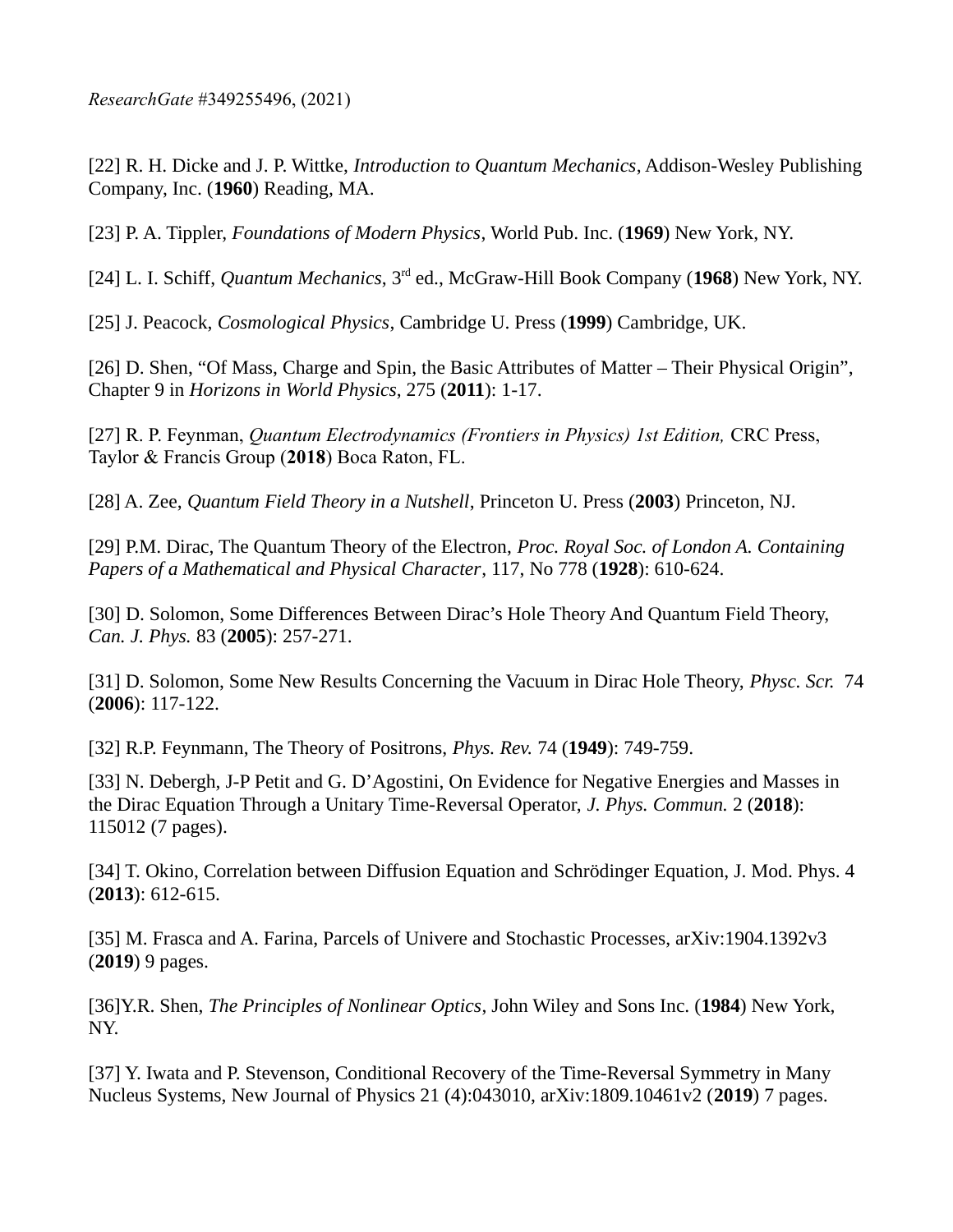[22] R. H. Dicke and J. P. Wittke, *Introduction to Quantum Mechanics*, Addison-Wesley Publishing Company, Inc. (**1960**) Reading, MA.

[23] P. A. Tippler, *Foundations of Modern Physics*, World Pub. Inc. (**1969**) New York, NY.

[24] L. I. Schiff, *Quantum Mechanics*, 3rd ed., McGraw-Hill Book Company (**1968**) New York, NY.

[25] J. Peacock, *Cosmological Physics*, Cambridge U. Press (**1999**) Cambridge, UK.

[26] D. Shen, "Of Mass, Charge and Spin, the Basic Attributes of Matter – Their Physical Origin", Chapter 9 in *Horizons in World Physics*, 275 (**2011**): 1-17.

[27] R. P. Feynman, *Quantum Electrodynamics (Frontiers in Physics) 1st Edition,* CRC Press, Taylor & Francis Group (**2018**) Boca Raton, FL.

[28] A. Zee, *Quantum Field Theory in a Nutshell*, Princeton U. Press (**2003**) Princeton, NJ.

[29] P.M. Dirac, The Quantum Theory of the Electron, *Proc. Royal Soc. of London A. Containing Papers of a Mathematical and Physical Character*, 117, No 778 (**1928**): 610-624.

[30] D. Solomon, Some Differences Between Dirac's Hole Theory And Quantum Field Theory, *Can. J. Phys.* 83 (**2005**): 257-271.

[31] D. Solomon, Some New Results Concerning the Vacuum in Dirac Hole Theory, *Physc. Scr.* 74 (**2006**): 117-122.

[32] R.P. Feynmann, The Theory of Positrons, *Phys. Rev.* 74 (**1949**): 749-759.

[33] N. Debergh, J-P Petit and G. D'Agostini, On Evidence for Negative Energies and Masses in the Dirac Equation Through a Unitary Time-Reversal Operator, *J. Phys. Commun.* 2 (**2018**): 115012 (7 pages).

[34] T. Okino, Correlation between Diffusion Equation and Schrödinger Equation, J. Mod. Phys. 4 (**2013**): 612-615.

[35] M. Frasca and A. Farina, Parcels of Univere and Stochastic Processes, arXiv:1904.1392v3 (**2019**) 9 pages.

[36]Y.R. Shen, *The Principles of Nonlinear Optics*, John Wiley and Sons Inc. (**1984**) New York, NY.

[37] Y. Iwata and P. Stevenson, Conditional Recovery of the Time-Reversal Symmetry in Many Nucleus Systems, New Journal of Physics 21 (4):043010, arXiv:1809.10461v2 (**2019**) 7 pages.